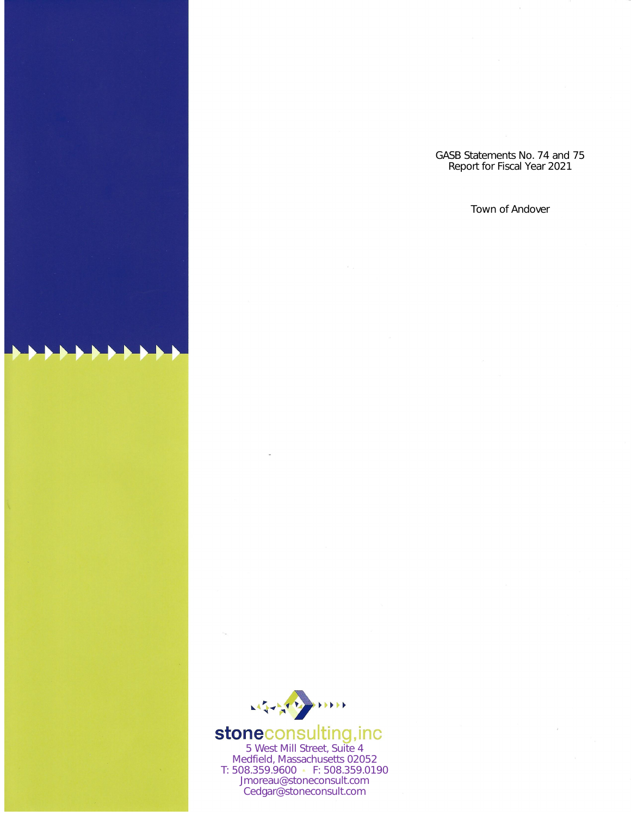



**stoneconsulting,inc**<br>5 West Mill Street, Suite 4<br>Medfield, Massachusetts 02052 T: 508.359.9600 · F: 508.359.0190 Jmoreau@stoneconsult.com Cedgar@stoneconsult.com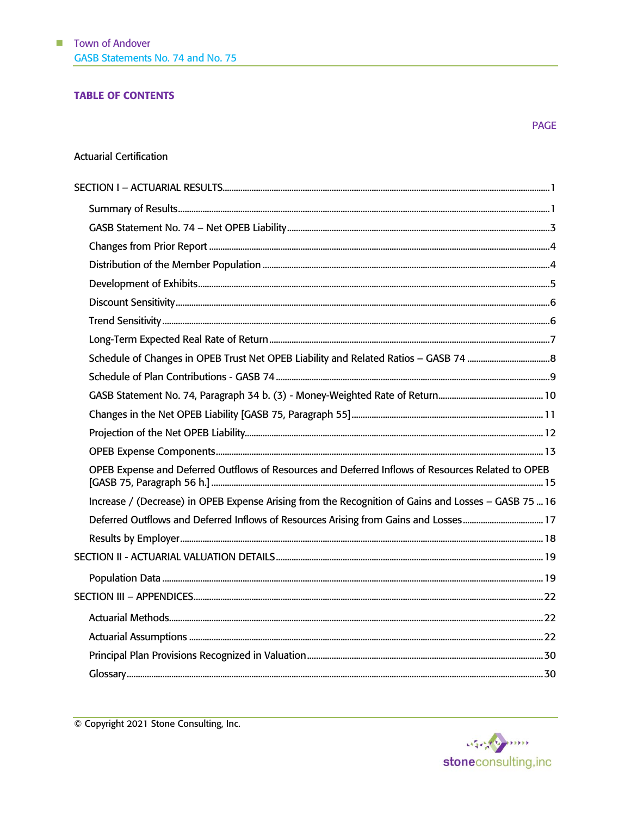#### **TABLE OF CONTENTS**

#### **Actuarial Certification**

| OPEB Expense and Deferred Outflows of Resources and Deferred Inflows of Resources Related to OPEB    |  |
|------------------------------------------------------------------------------------------------------|--|
| Increase / (Decrease) in OPEB Expense Arising from the Recognition of Gains and Losses - GASB 75  16 |  |
|                                                                                                      |  |
|                                                                                                      |  |
|                                                                                                      |  |
|                                                                                                      |  |
|                                                                                                      |  |
|                                                                                                      |  |
|                                                                                                      |  |
|                                                                                                      |  |
|                                                                                                      |  |

© Copyright 2021 Stone Consulting, Inc.

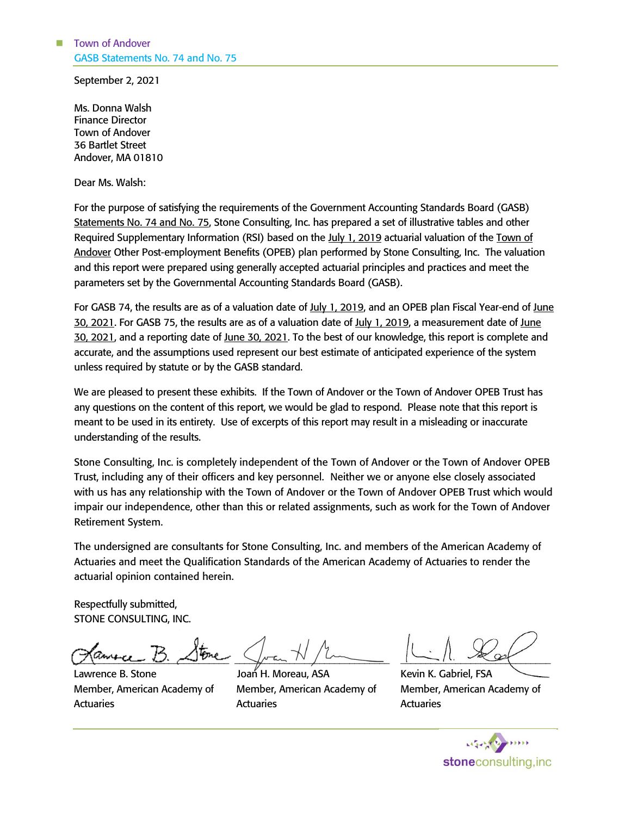September 2, 2021

Ms. Donna Walsh Finance Director Town of Andover 36 Bartlet Street Andover, MA 01810

Dear Ms. Walsh:

For the purpose of satisfying the requirements of the Government Accounting Standards Board (GASB) Statements No. 74 and No. 75, Stone Consulting, Inc. has prepared a set of illustrative tables and other Required Supplementary Information (RSI) based on the July 1, 2019 actuarial valuation of the Town of Andover Other Post-employment Benefits (OPEB) plan performed by Stone Consulting, Inc. The valuation and this report were prepared using generally accepted actuarial principles and practices and meet the parameters set by the Governmental Accounting Standards Board (GASB).

For GASB 74, the results are as of a valuation date of July 1, 2019, and an OPEB plan Fiscal Year-end of June 30, 2021. For GASB 75, the results are as of a valuation date of July 1, 2019, a measurement date of June 30, 2021, and a reporting date of June 30, 2021. To the best of our knowledge, this report is complete and accurate, and the assumptions used represent our best estimate of anticipated experience of the system unless required by statute or by the GASB standard.

We are pleased to present these exhibits. If the Town of Andover or the Town of Andover OPEB Trust has any questions on the content of this report, we would be glad to respond. Please note that this report is meant to be used in its entirety. Use of excerpts of this report may result in a misleading or inaccurate understanding of the results.

Stone Consulting, Inc. is completely independent of the Town of Andover or the Town of Andover OPEB Trust, including any of their officers and key personnel. Neither we or anyone else closely associated with us has any relationship with the Town of Andover or the Town of Andover OPEB Trust which would impair our independence, other than this or related assignments, such as work for the Town of Andover Retirement System.

The undersigned are consultants for Stone Consulting, Inc. and members of the American Academy of Actuaries and meet the Qualification Standards of the American Academy of Actuaries to render the actuarial opinion contained herein.

Respectfully submitted, STONE CONSULTING, INC.

 $z$  and  $z$  .  $z$  and  $\sqrt{1-\mu^2+1}$ 

Lawrence B. Stone Member, American Academy of **Actuaries** 

Joan H. Moreau, ASA Member, American Academy of Actuaries

 $1 - 11.70$ Kevin K. Gabriel, FSA

Member, American Academy of **Actuaries** 

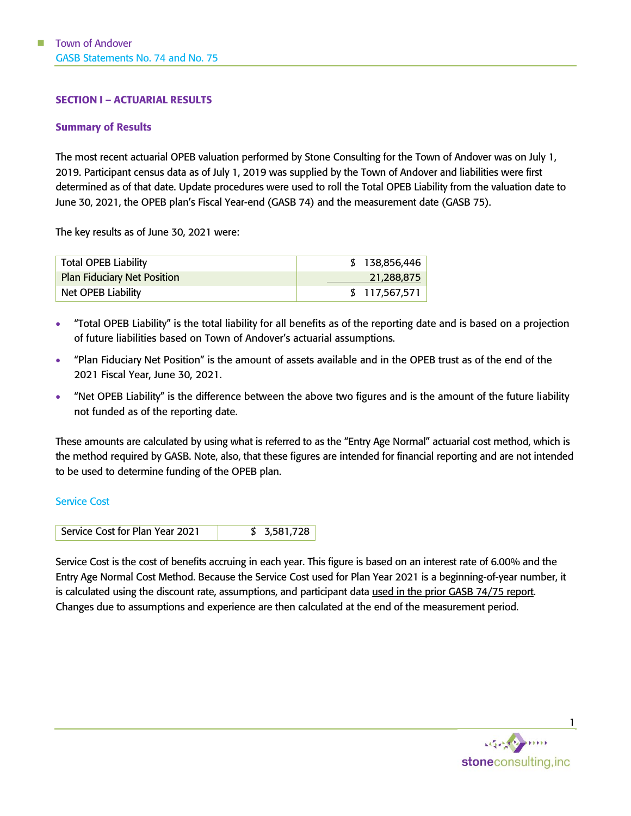#### <span id="page-3-0"></span>SECTION I – ACTUARIAL RESULTS

#### <span id="page-3-1"></span>Summary of Results

The most recent actuarial OPEB valuation performed by Stone Consulting for the Town of Andover was on July 1, 2019. Participant census data as of July 1, 2019 was supplied by the Town of Andover and liabilities were first determined as of that date. Update procedures were used to roll the Total OPEB Liability from the valuation date to June 30, 2021, the OPEB plan's Fiscal Year-end (GASB 74) and the measurement date (GASB 75).

The key results as of June 30, 2021 were:

| <b>Total OPEB Liability</b> | \$138,856,446 |
|-----------------------------|---------------|
| Plan Fiduciary Net Position | 21,288,875    |
| Net OPEB Liability          | \$117,567,571 |

- "Total OPEB Liability" is the total liability for all benefits as of the reporting date and is based on a projection of future liabilities based on Town of Andover's actuarial assumptions.
- "Plan Fiduciary Net Position" is the amount of assets available and in the OPEB trust as of the end of the 2021 Fiscal Year, June 30, 2021.
- "Net OPEB Liability" is the difference between the above two figures and is the amount of the future liability not funded as of the reporting date.

These amounts are calculated by using what is referred to as the "Entry Age Normal" actuarial cost method, which is the method required by GASB. Note, also, that these figures are intended for financial reporting and are not intended to be used to determine funding of the OPEB plan.

#### Service Cost

Service Cost is the cost of benefits accruing in each year. This figure is based on an interest rate of 6.00% and the Entry Age Normal Cost Method. Because the Service Cost used for Plan Year 2021 is a beginning-of-year number, it is calculated using the discount rate, assumptions, and participant data used in the prior GASB 74/75 report. Changes due to assumptions and experience are then calculated at the end of the measurement period.

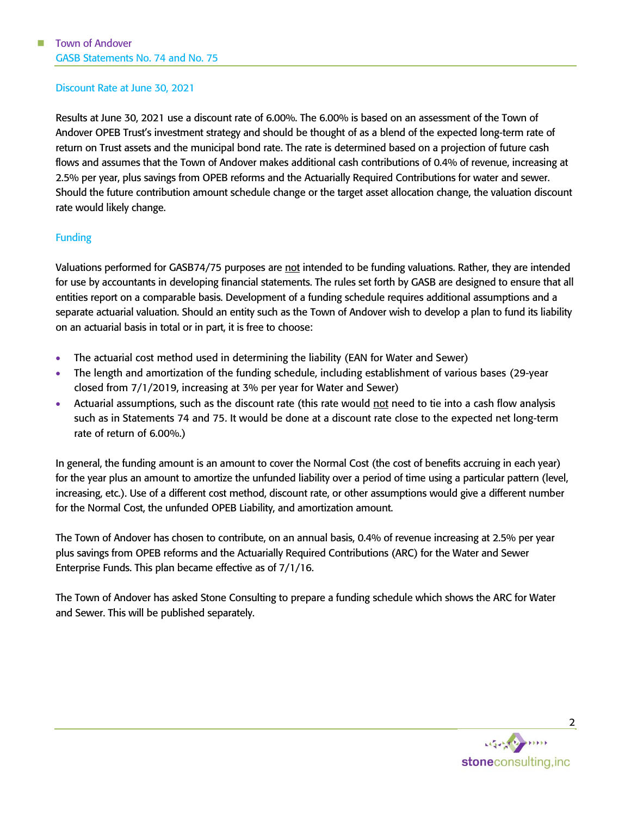#### Discount Rate at June 30, 2021

Results at June 30, 2021 use a discount rate of 6.00%. The 6.00% is based on an assessment of the Town of Andover OPEB Trust's investment strategy and should be thought of as a blend of the expected long-term rate of return on Trust assets and the municipal bond rate. The rate is determined based on a projection of future cash flows and assumes that the Town of Andover makes additional cash contributions of 0.4% of revenue, increasing at 2.5% per year, plus savings from OPEB reforms and the Actuarially Required Contributions for water and sewer. Should the future contribution amount schedule change or the target asset allocation change, the valuation discount rate would likely change.

### Funding

Valuations performed for GASB74/75 purposes are not intended to be funding valuations. Rather, they are intended for use by accountants in developing financial statements. The rules set forth by GASB are designed to ensure that all entities report on a comparable basis. Development of a funding schedule requires additional assumptions and a separate actuarial valuation. Should an entity such as the Town of Andover wish to develop a plan to fund its liability on an actuarial basis in total or in part, it is free to choose:

- The actuarial cost method used in determining the liability (EAN for Water and Sewer)
- The length and amortization of the funding schedule, including establishment of various bases (29-year closed from 7/1/2019, increasing at 3% per year for Water and Sewer)
- Actuarial assumptions, such as the discount rate (this rate would not need to tie into a cash flow analysis such as in Statements 74 and 75. It would be done at a discount rate close to the expected net long-term rate of return of 6.00%.)

In general, the funding amount is an amount to cover the Normal Cost (the cost of benefits accruing in each year) for the year plus an amount to amortize the unfunded liability over a period of time using a particular pattern (level, increasing, etc.). Use of a different cost method, discount rate, or other assumptions would give a different number for the Normal Cost, the unfunded OPEB Liability, and amortization amount.

The Town of Andover has chosen to contribute, on an annual basis, 0.4% of revenue increasing at 2.5% per year plus savings from OPEB reforms and the Actuarially Required Contributions (ARC) for the Water and Sewer Enterprise Funds. This plan became effective as of 7/1/16.

The Town of Andover has asked Stone Consulting to prepare a funding schedule which shows the ARC for Water and Sewer. This will be published separately.



2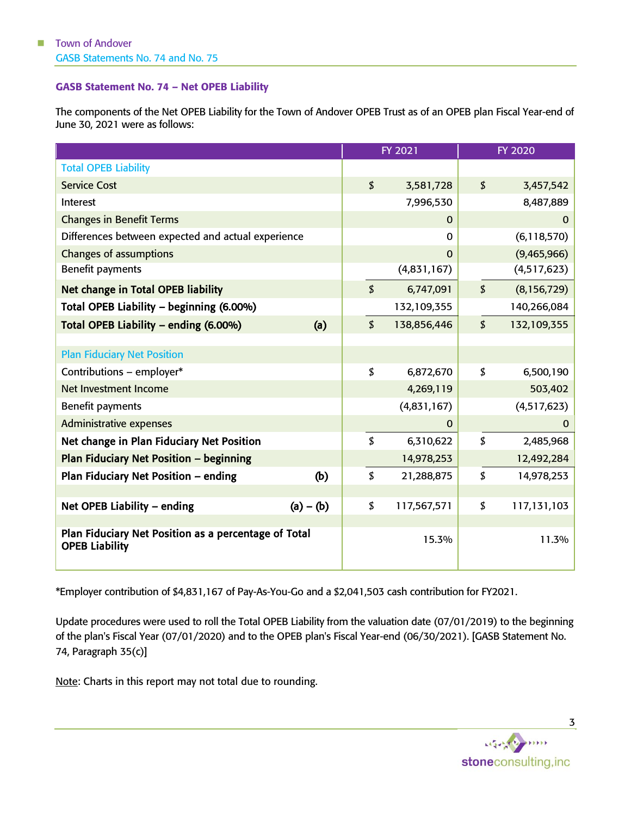#### <span id="page-5-0"></span>GASB Statement No. 74 – Net OPEB Liability

The components of the Net OPEB Liability for the Town of Andover OPEB Trust as of an OPEB plan Fiscal Year-end of June 30, 2021 were as follows:

|                                                                               |             | FY 2021                   |              | <b>FY 2020</b>             |               |
|-------------------------------------------------------------------------------|-------------|---------------------------|--------------|----------------------------|---------------|
| <b>Total OPEB Liability</b>                                                   |             |                           |              |                            |               |
| <b>Service Cost</b>                                                           |             | \$                        | 3,581,728    | $\boldsymbol{\mathsf{S}}$  | 3,457,542     |
| Interest                                                                      |             |                           | 7,996,530    |                            | 8,487,889     |
| <b>Changes in Benefit Terms</b>                                               |             |                           | $\mathbf{0}$ |                            | $\mathbf{0}$  |
| Differences between expected and actual experience                            |             |                           | $\Omega$     |                            | (6, 118, 570) |
| <b>Changes of assumptions</b>                                                 |             |                           | $\Omega$     |                            | (9,465,966)   |
| Benefit payments                                                              |             |                           | (4,831,167)  |                            | (4,517,623)   |
| <b>Net change in Total OPEB liability</b>                                     |             | \$                        | 6,747,091    | \$                         | (8, 156, 729) |
| Total OPEB Liability - beginning (6.00%)                                      |             |                           | 132,109,355  |                            | 140,266,084   |
| Total OPEB Liability - ending (6.00%)                                         | (a)         | $\boldsymbol{\mathsf{S}}$ | 138,856,446  | $\boldsymbol{\mathcal{L}}$ | 132,109,355   |
|                                                                               |             |                           |              |                            |               |
| <b>Plan Fiduciary Net Position</b>                                            |             |                           |              |                            |               |
| Contributions - employer*                                                     |             | \$                        | 6,872,670    | \$                         | 6,500,190     |
| Net Investment Income                                                         |             |                           | 4,269,119    |                            | 503,402       |
| Benefit payments                                                              |             |                           | (4,831,167)  |                            | (4,517,623)   |
| <b>Administrative expenses</b>                                                |             |                           | $\mathbf{0}$ |                            | $\mathbf{0}$  |
| Net change in Plan Fiduciary Net Position                                     |             | \$                        | 6,310,622    | \$                         | 2,485,968     |
| <b>Plan Fiduciary Net Position - beginning</b>                                |             |                           | 14,978,253   |                            | 12,492,284    |
| Plan Fiduciary Net Position - ending                                          | (b)         | \$                        | 21,288,875   | \$                         | 14,978,253    |
|                                                                               |             |                           |              |                            |               |
| Net OPEB Liability - ending                                                   | $(a) - (b)$ | \$                        | 117,567,571  | \$                         | 117,131,103   |
| Plan Fiduciary Net Position as a percentage of Total<br><b>OPEB Liability</b> |             |                           | 15.3%        |                            | 11.3%         |

\*Employer contribution of \$4,831,167 of Pay-As-You-Go and a \$2,041,503 cash contribution for FY2021.

Update procedures were used to roll the Total OPEB Liability from the valuation date (07/01/2019) to the beginning of the plan's Fiscal Year (07/01/2020) and to the OPEB plan's Fiscal Year-end (06/30/2021). [GASB Statement No. 74, Paragraph 35(c)]

Note: Charts in this report may not total due to rounding.



3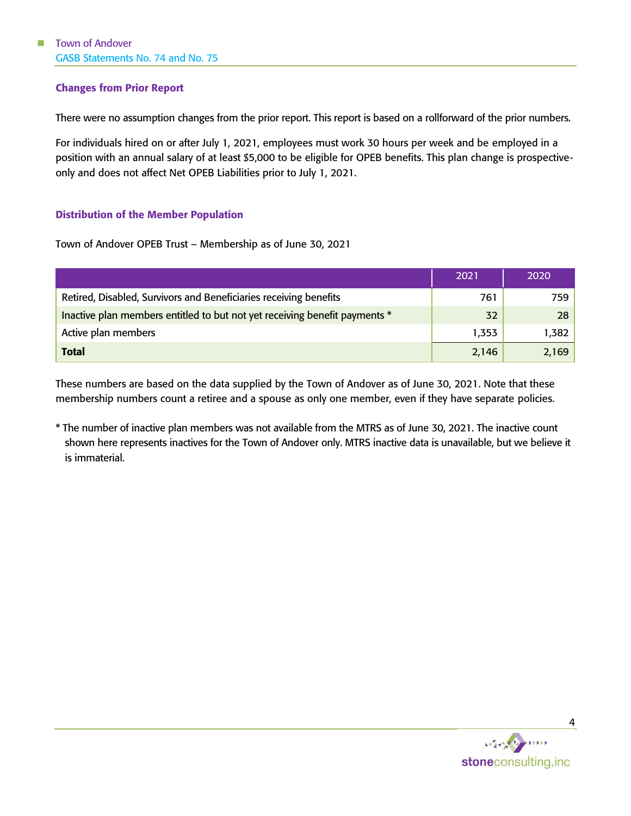### <span id="page-6-0"></span>Changes from Prior Report

There were no assumption changes from the prior report. This report is based on a rollforward of the prior numbers.

For individuals hired on or after July 1, 2021, employees must work 30 hours per week and be employed in a position with an annual salary of at least \$5,000 to be eligible for OPEB benefits. This plan change is prospectiveonly and does not affect Net OPEB Liabilities prior to July 1, 2021.

#### <span id="page-6-1"></span>Distribution of the Member Population

Town of Andover OPEB Trust – Membership as of June 30, 2021

|                                                                            | 2021  | 2020  |
|----------------------------------------------------------------------------|-------|-------|
| Retired, Disabled, Survivors and Beneficiaries receiving benefits          | 761   | 759   |
| Inactive plan members entitled to but not yet receiving benefit payments * | 32    | 28    |
| Active plan members                                                        | 1,353 | 1,382 |
| <b>Total</b>                                                               | 2,146 | 2,169 |

These numbers are based on the data supplied by the Town of Andover as of June 30, 2021. Note that these membership numbers count a retiree and a spouse as only one member, even if they have separate policies.

\* The number of inactive plan members was not available from the MTRS as of June 30, 2021. The inactive count shown here represents inactives for the Town of Andover only. MTRS inactive data is unavailable, but we believe it is immaterial.

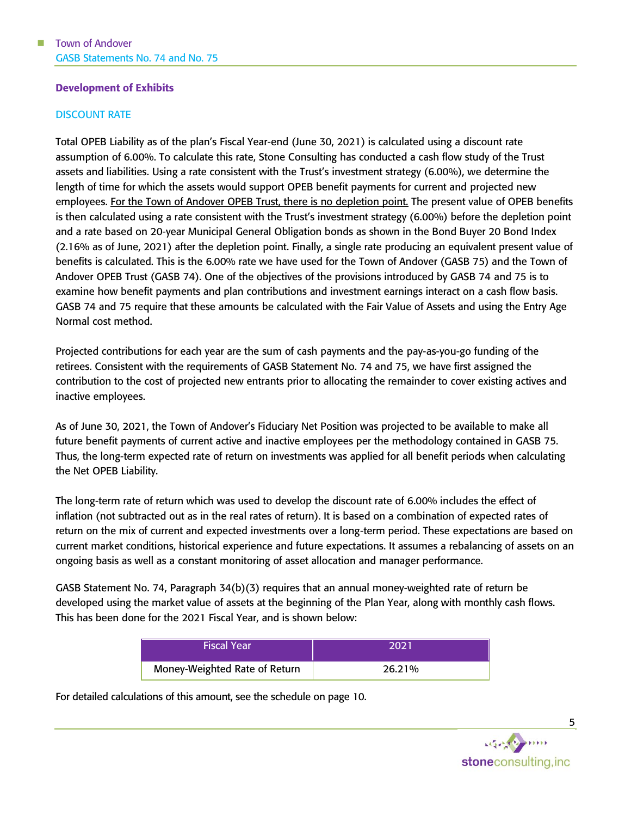#### <span id="page-7-0"></span>Development of Exhibits

#### DISCOUNT RATE

Total OPEB Liability as of the plan's Fiscal Year-end (June 30, 2021) is calculated using a discount rate assumption of 6.00%. To calculate this rate, Stone Consulting has conducted a cash flow study of the Trust assets and liabilities. Using a rate consistent with the Trust's investment strategy (6.00%), we determine the length of time for which the assets would support OPEB benefit payments for current and projected new employees. For the Town of Andover OPEB Trust, there is no depletion point. The present value of OPEB benefits is then calculated using a rate consistent with the Trust's investment strategy (6.00%) before the depletion point and a rate based on 20-year Municipal General Obligation bonds as shown in the Bond Buyer 20 Bond Index (2.16% as of June, 2021) after the depletion point. Finally, a single rate producing an equivalent present value of benefits is calculated. This is the 6.00% rate we have used for the Town of Andover (GASB 75) and the Town of Andover OPEB Trust (GASB 74). One of the objectives of the provisions introduced by GASB 74 and 75 is to examine how benefit payments and plan contributions and investment earnings interact on a cash flow basis. GASB 74 and 75 require that these amounts be calculated with the Fair Value of Assets and using the Entry Age Normal cost method.

Projected contributions for each year are the sum of cash payments and the pay-as-you-go funding of the retirees. Consistent with the requirements of GASB Statement No. 74 and 75, we have first assigned the contribution to the cost of projected new entrants prior to allocating the remainder to cover existing actives and inactive employees.

As of June 30, 2021, the Town of Andover's Fiduciary Net Position was projected to be available to make all future benefit payments of current active and inactive employees per the methodology contained in GASB 75. Thus, the long-term expected rate of return on investments was applied for all benefit periods when calculating the Net OPEB Liability.

The long-term rate of return which was used to develop the discount rate of 6.00% includes the effect of inflation (not subtracted out as in the real rates of return). It is based on a combination of expected rates of return on the mix of current and expected investments over a long-term period. These expectations are based on current market conditions, historical experience and future expectations. It assumes a rebalancing of assets on an ongoing basis as well as a constant monitoring of asset allocation and manager performance.

GASB Statement No. 74, Paragraph 34(b)(3) requires that an annual money-weighted rate of return be developed using the market value of assets at the beginning of the Plan Year, along with monthly cash flows. This has been done for the 2021 Fiscal Year, and is shown below:

| <b>Fiscal Year</b>            | 2021   |
|-------------------------------|--------|
| Money-Weighted Rate of Return | 26.21% |

For detailed calculations of this amount, see the schedule on page [10.](#page-12-0)



5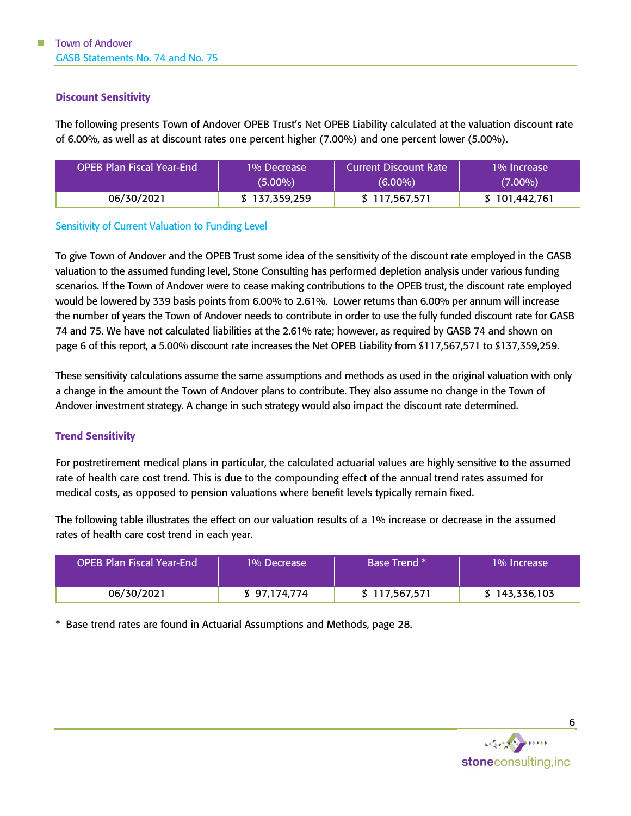#### <span id="page-8-0"></span>Discount Sensitivity

The following presents Town of Andover OPEB Trust's Net OPEB Liability calculated at the valuation discount rate of 6.00%, as well as at discount rates one percent higher (7.00%) and one percent lower (5.00%).

| <b>OPEB Plan Fiscal Year-End</b> | 1% Decrease   | <b>Current Discount Rate</b> | 1% Increase   |
|----------------------------------|---------------|------------------------------|---------------|
|                                  | $(5.00\%)$    | $(6.00\%)$                   | $(7.00\%)$    |
| 06/30/2021                       | \$137.359.259 | \$117,567,571                | \$101,442,761 |

#### Sensitivity of Current Valuation to Funding Level

To give Town of Andover and the OPEB Trust some idea of the sensitivity of the discount rate employed in the GASB valuation to the assumed funding level, Stone Consulting has performed depletion analysis under various funding scenarios. If the Town of Andover were to cease making contributions to the OPEB trust, the discount rate employed would be lowered by 339 basis points from 6.00% to 2.61%. Lower returns than 6.00% per annum will increase the number of years the Town of Andover needs to contribute in order to use the fully funded discount rate for GASB 74 and 75. We have not calculated liabilities at the 2.61% rate; however, as required by GASB 74 and shown on page 6 of this report, a 5.00% discount rate increases the Net OPEB Liability from \$117,567,571 to \$137,359,259.

These sensitivity calculations assume the same assumptions and methods as used in the original valuation with only a change in the amount the Town of Andover plans to contribute. They also assume no change in the Town of Andover investment strategy. A change in such strategy would also impact the discount rate determined.

### <span id="page-8-1"></span>Trend Sensitivity

For postretirement medical plans in particular, the calculated actuarial values are highly sensitive to the assumed rate of health care cost trend. This is due to the compounding effect of the annual trend rates assumed for medical costs, as opposed to pension valuations where benefit levels typically remain fixed.

The following table illustrates the effect on our valuation results of a 1% increase or decrease in the assumed rates of health care cost trend in each year.

| <b>OPEB Plan Fiscal Year-End</b> | 1% Decrease  | <b>Base Trend</b> * | 1% Increase   |
|----------------------------------|--------------|---------------------|---------------|
| 06/30/2021                       | \$97,174,774 | \$117,567,571       | \$143,336,103 |

\* Base trend rates are found in Actuarial Assumptions and Methods, page [28.](#page-30-0)



6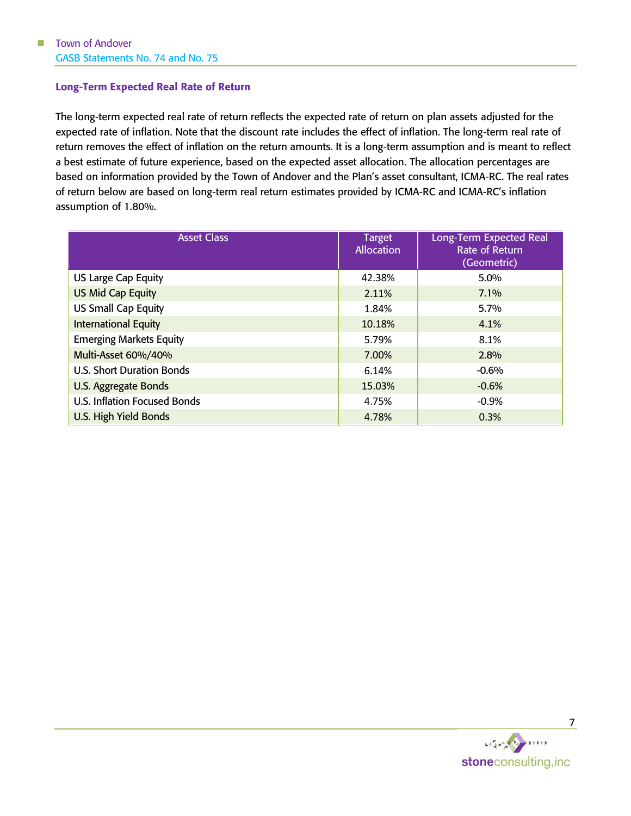#### <span id="page-9-0"></span>Long-Term Expected Real Rate of Return

The long-term expected real rate of return reflects the expected rate of return on plan assets adjusted for the expected rate of inflation. Note that the discount rate includes the effect of inflation. The long-term real rate of return removes the effect of inflation on the return amounts. It is a long-term assumption and is meant to reflect a best estimate of future experience, based on the expected asset allocation. The allocation percentages are based on information provided by the Town of Andover and the Plan's asset consultant, ICMA-RC. The real rates of return below are based on long-term real return estimates provided by ICMA-RC and ICMA-RC's inflation assumption of 1.80%.

| <b>Asset Class</b>                  | <b>Target</b><br><b>Allocation</b> | Long-Term Expected Real<br>Rate of Return<br>(Geometric) |  |  |
|-------------------------------------|------------------------------------|----------------------------------------------------------|--|--|
| US Large Cap Equity                 | 42.38%                             | $5.0\%$                                                  |  |  |
| <b>US Mid Cap Equity</b>            | $7.1\%$<br>2.11%                   |                                                          |  |  |
| <b>US Small Cap Equity</b>          | 1.84%                              | 5.7%                                                     |  |  |
| <b>International Equity</b>         | 10.18%                             | 4.1%                                                     |  |  |
| <b>Emerging Markets Equity</b>      | 5.79%                              | 8.1%                                                     |  |  |
| Multi-Asset 60%/40%                 | 7.00%                              | 2.8%                                                     |  |  |
| <b>U.S. Short Duration Bonds</b>    | 6.14%                              | $-0.6%$                                                  |  |  |
| <b>U.S. Aggregate Bonds</b>         | 15.03%                             | $-0.6%$                                                  |  |  |
| <b>U.S. Inflation Focused Bonds</b> | 4.75%                              | $-0.9%$                                                  |  |  |
| U.S. High Yield Bonds               | 4.78%                              | 0.3%                                                     |  |  |

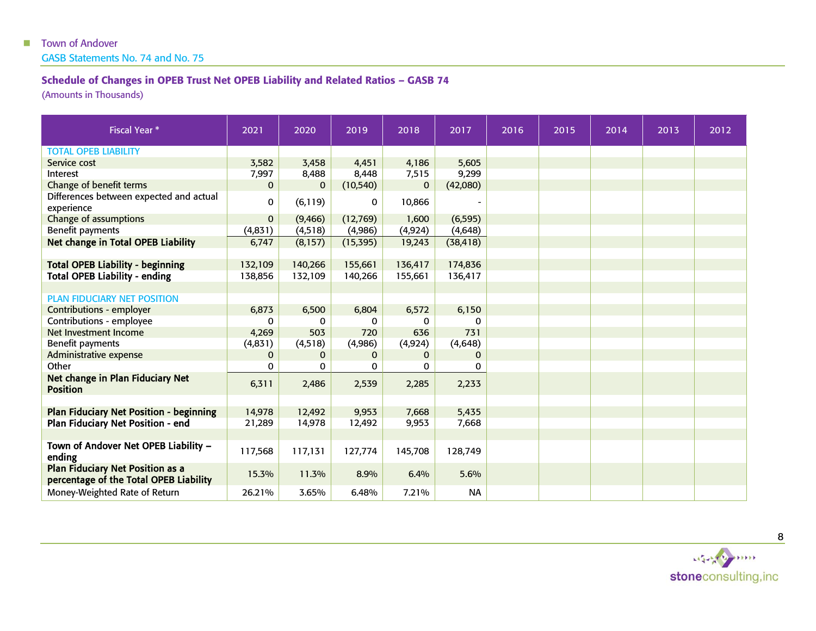GASB Statements No. 74 and No. 75

## Schedule of Changes in OPEB Trust Net OPEB Liability and Related Ratios – GASB 74

(Amounts in Thousands)

<span id="page-10-0"></span>

| <b>Fiscal Year *</b>                                                              | 2021        | 2020         | 2019      | 2018         | 2017      | 2016 | 2015 | 2014 | 2013 | 2012 |
|-----------------------------------------------------------------------------------|-------------|--------------|-----------|--------------|-----------|------|------|------|------|------|
| <b>TOTAL OPEB LIABILITY</b>                                                       |             |              |           |              |           |      |      |      |      |      |
| Service cost                                                                      | 3,582       | 3,458        | 4,451     | 4,186        | 5,605     |      |      |      |      |      |
| Interest                                                                          | 7,997       | 8,488        | 8,448     | 7,515        | 9,299     |      |      |      |      |      |
| Change of benefit terms                                                           | $\mathbf 0$ | $\Omega$     | (10, 540) | $\mathbf{0}$ | (42,080)  |      |      |      |      |      |
| Differences between expected and actual<br>experience                             | 0           | (6, 119)     | 0         | 10,866       |           |      |      |      |      |      |
| Change of assumptions                                                             | $\mathbf 0$ | (9,466)      | (12,769)  | 1,600        | (6, 595)  |      |      |      |      |      |
| Benefit payments                                                                  | (4,831)     | (4, 518)     | (4,986)   | (4, 924)     | (4,648)   |      |      |      |      |      |
| <b>Net change in Total OPEB Liability</b>                                         | 6,747       | (8,157)      | (15, 395) | 19,243       | (38, 418) |      |      |      |      |      |
|                                                                                   |             |              |           |              |           |      |      |      |      |      |
| <b>Total OPEB Liability - beginning</b>                                           | 132,109     | 140,266      | 155,661   | 136,417      | 174,836   |      |      |      |      |      |
| <b>Total OPEB Liability - ending</b>                                              | 138,856     | 132,109      | 140,266   | 155,661      | 136,417   |      |      |      |      |      |
|                                                                                   |             |              |           |              |           |      |      |      |      |      |
| <b>PLAN FIDUCIARY NET POSITION</b>                                                |             |              |           |              |           |      |      |      |      |      |
| Contributions - employer                                                          | 6,873       | 6,500        | 6,804     | 6,572        | 6,150     |      |      |      |      |      |
| Contributions - employee                                                          | $\Omega$    | $\mathbf{0}$ | 0         | 0            | $\Omega$  |      |      |      |      |      |
| Net Investment Income                                                             | 4,269       | 503          | 720       | 636          | 731       |      |      |      |      |      |
| Benefit payments                                                                  | (4,831)     | (4,518)      | (4,986)   | (4, 924)     | (4,648)   |      |      |      |      |      |
| Administrative expense                                                            | $\mathbf 0$ | $\mathbf 0$  | 0         | 0            | 0         |      |      |      |      |      |
| Other                                                                             | 0           | 0            | 0         | 0            | 0         |      |      |      |      |      |
| Net change in Plan Fiduciary Net<br><b>Position</b>                               | 6,311       | 2,486        | 2,539     | 2,285        | 2,233     |      |      |      |      |      |
|                                                                                   |             |              |           |              |           |      |      |      |      |      |
| <b>Plan Fiduciary Net Position - beginning</b>                                    | 14,978      | 12,492       | 9,953     | 7,668        | 5,435     |      |      |      |      |      |
| Plan Fiduciary Net Position - end                                                 | 21,289      | 14,978       | 12,492    | 9,953        | 7,668     |      |      |      |      |      |
| Town of Andover Net OPEB Liability -<br>ending                                    | 117,568     | 117,131      | 127,774   | 145,708      | 128,749   |      |      |      |      |      |
| <b>Plan Fiduciary Net Position as a</b><br>percentage of the Total OPEB Liability | 15.3%       | 11.3%        | 8.9%      | 6.4%         | 5.6%      |      |      |      |      |      |
| Money-Weighted Rate of Return                                                     | 26.21%      | 3.65%        | 6.48%     | 7.21%        | NA        |      |      |      |      |      |

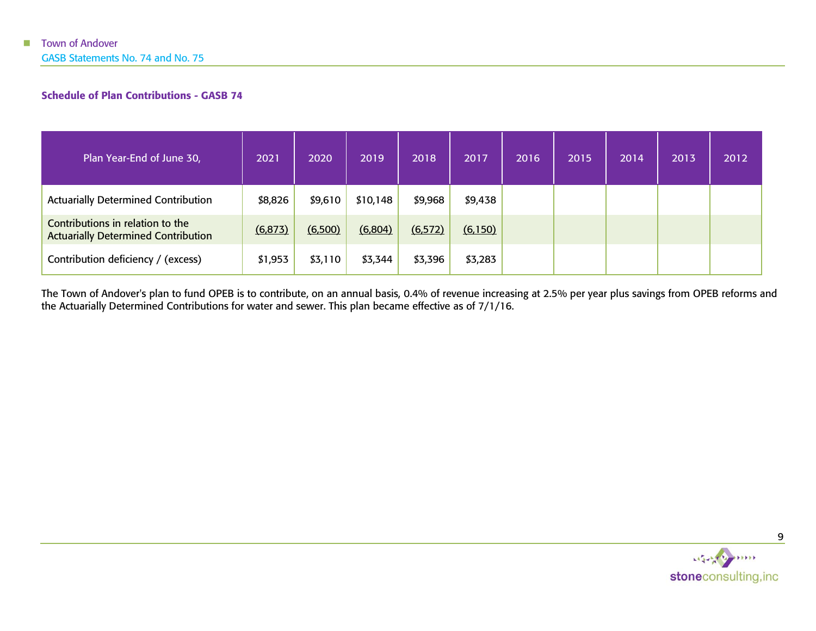GASB Statements No. 74 and No. 75

### Schedule of Plan Contributions - GASB 74

| Plan Year-End of June 30,                                                      | 2021     | 2020    | 2019     | 2018     | 2017     | 2016 | 2015 | 2014 | 2013 | 2012 |
|--------------------------------------------------------------------------------|----------|---------|----------|----------|----------|------|------|------|------|------|
| <b>Actuarially Determined Contribution</b>                                     | \$8,826  | \$9,610 | \$10,148 | \$9,968  | \$9,438  |      |      |      |      |      |
| Contributions in relation to the<br><b>Actuarially Determined Contribution</b> | (6, 873) | (6,500) | (6,804)  | (6, 572) | (6, 150) |      |      |      |      |      |
| Contribution deficiency / (excess)                                             | \$1,953  | \$3,110 | \$3,344  | \$3,396  | \$3,283  |      |      |      |      |      |

<span id="page-11-0"></span>The Town of Andover's plan to fund OPEB is to contribute, on an annual basis, 0.4% of revenue increasing at 2.5% per year plus savings from OPEB reforms and the Actuarially Determined Contributions for water and sewer. This plan became effective as of 7/1/16.

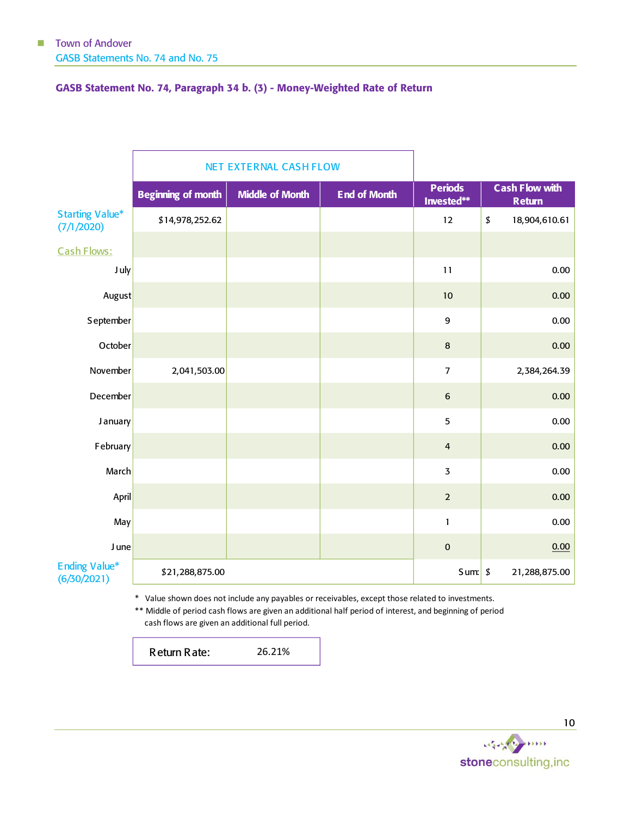### <span id="page-12-0"></span>GASB Statement No. 74, Paragraph 34 b. (3) - Money-Weighted Rate of Return

|                                                                                                  |                           | <b>NET EXTERNAL CASH FLOW</b> |                     |                              |    |                                        |  |
|--------------------------------------------------------------------------------------------------|---------------------------|-------------------------------|---------------------|------------------------------|----|----------------------------------------|--|
|                                                                                                  | <b>Beginning of month</b> | <b>Middle of Month</b>        | <b>End of Month</b> | <b>Periods</b><br>Invested** |    | <b>Cash Flow with</b><br><b>Return</b> |  |
| <b>Starting Value*</b><br>(7/1/2020)                                                             | \$14,978,252.62           |                               |                     | 12                           | \$ | 18,904,610.61                          |  |
| Cash Flows:                                                                                      |                           |                               |                     |                              |    |                                        |  |
| J uly                                                                                            |                           |                               |                     | 11                           |    | 0.00                                   |  |
| August                                                                                           |                           |                               |                     | 10                           |    | 0.00                                   |  |
| September                                                                                        |                           |                               |                     | 9                            |    | 0.00                                   |  |
| October                                                                                          |                           |                               |                     | 8                            |    | 0.00                                   |  |
| November                                                                                         | 2,041,503.00              |                               |                     | $\overline{7}$               |    | 2,384,264.39                           |  |
| December                                                                                         |                           |                               |                     | $\boldsymbol{6}$             |    | 0.00                                   |  |
| <b>January</b>                                                                                   |                           |                               |                     | 5                            |    | 0.00                                   |  |
| February                                                                                         |                           |                               |                     | $\overline{a}$               |    | 0.00                                   |  |
| March                                                                                            |                           |                               |                     | $\overline{3}$               |    | 0.00                                   |  |
| April                                                                                            |                           |                               |                     | $\overline{2}$               |    | 0.00                                   |  |
| May                                                                                              |                           |                               |                     | $\mathbf{1}$                 |    | $0.00\,$                               |  |
| J une                                                                                            |                           |                               |                     | $\pmb{0}$                    |    | 0.00                                   |  |
| <b>Ending Value*</b><br>(6/30/2021)                                                              | \$21,288,875.00           |                               |                     | Sum: 5                       |    | 21,288,875.00                          |  |
| * Value shown does not include any payables or receivables, except those related to investments. |                           |                               |                     |                              |    |                                        |  |

\*\* Middle of period cash flows are given an additional half period of interest, and beginning of period cash flows are given an additional full period.

Return Rate: 26.21%

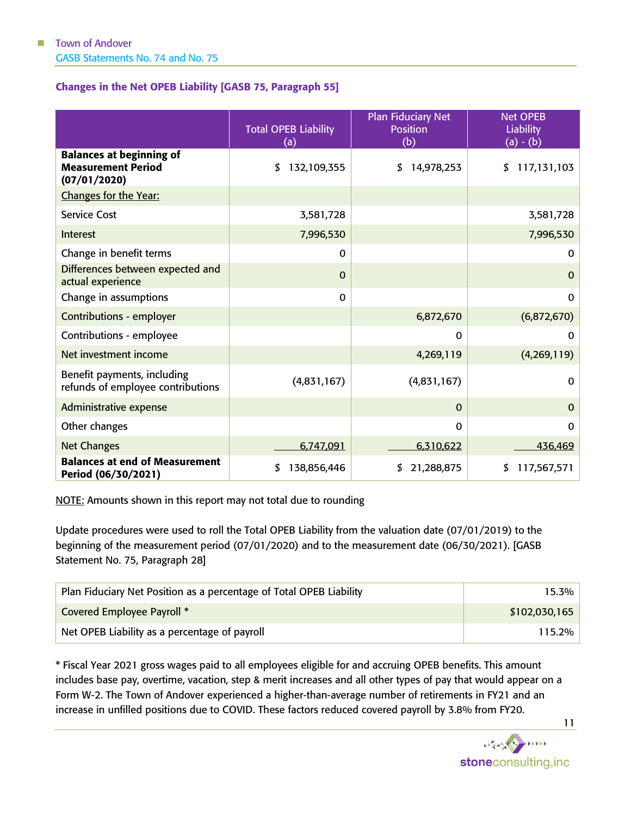### <span id="page-13-0"></span>Changes in the Net OPEB Liability [GASB 75, Paragraph 55]

|                                                                              | <b>Total OPEB Liability</b><br>(a) | <b>Plan Fiduciary Net</b><br><b>Position</b><br>(b) | <b>Net OPEB</b><br><b>Liability</b><br>$(a) - (b)$ |
|------------------------------------------------------------------------------|------------------------------------|-----------------------------------------------------|----------------------------------------------------|
| <b>Balances at beginning of</b><br><b>Measurement Period</b><br>(07/01/2020) | 132,109,355<br>\$                  | 14,978,253<br>\$                                    | 117,131,103<br>\$                                  |
| Changes for the Year:                                                        |                                    |                                                     |                                                    |
| <b>Service Cost</b>                                                          | 3,581,728                          |                                                     | 3,581,728                                          |
| Interest                                                                     | 7,996,530                          |                                                     | 7,996,530                                          |
| Change in benefit terms                                                      | $\Omega$                           |                                                     | 0                                                  |
| Differences between expected and<br>actual experience                        | $\Omega$                           |                                                     | $\mathbf 0$                                        |
| Change in assumptions                                                        | 0                                  |                                                     | $\mathbf 0$                                        |
| <b>Contributions - employer</b>                                              |                                    | 6,872,670                                           | (6,872,670)                                        |
| Contributions - employee                                                     |                                    | 0                                                   | 0                                                  |
| Net investment income                                                        |                                    | 4,269,119                                           | (4,269,119)                                        |
| Benefit payments, including<br>refunds of employee contributions             | (4,831,167)                        | (4,831,167)                                         | 0                                                  |
| Administrative expense                                                       |                                    | $\Omega$                                            | 0                                                  |
| Other changes                                                                |                                    | $\Omega$                                            | 0                                                  |
| <b>Net Changes</b>                                                           | 6,747,091                          | 6,310,622                                           | 436,469                                            |
| <b>Balances at end of Measurement</b><br>Period (06/30/2021)                 | \$<br>138,856,446                  | 21,288,875<br>\$                                    | 117,567,571<br>\$                                  |

NOTE: Amounts shown in this report may not total due to rounding

Update procedures were used to roll the Total OPEB Liability from the valuation date (07/01/2019) to the beginning of the measurement period (07/01/2020) and to the measurement date (06/30/2021). [GASB Statement No. 75, Paragraph 28]

| Plan Fiduciary Net Position as a percentage of Total OPEB Liability | 15.3%         |
|---------------------------------------------------------------------|---------------|
| Covered Employee Payroll *                                          | \$102,030,165 |
| Net OPEB Liability as a percentage of payroll                       | 115.2%        |

\* Fiscal Year 2021 gross wages paid to all employees eligible for and accruing OPEB benefits. This amount includes base pay, overtime, vacation, step & merit increases and all other types of pay that would appear on a Form W-2. The Town of Andover experienced a higher-than-average number of retirements in FY21 and an increase in unfilled positions due to COVID. These factors reduced covered payroll by 3.8% from FY20.



11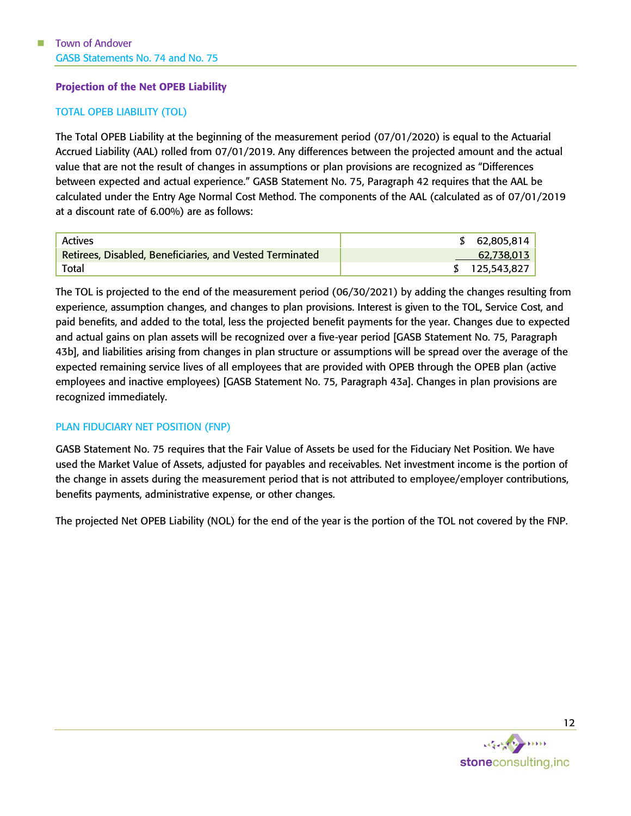### <span id="page-14-0"></span>Projection of the Net OPEB Liability

#### TOTAL OPEB LIABILITY (TOL)

The Total OPEB Liability at the beginning of the measurement period (07/01/2020) is equal to the Actuarial Accrued Liability (AAL) rolled from 07/01/2019. Any differences between the projected amount and the actual value that are not the result of changes in assumptions or plan provisions are recognized as "Differences between expected and actual experience." GASB Statement No. 75, Paragraph 42 requires that the AAL be calculated under the Entry Age Normal Cost Method. The components of the AAL (calculated as of 07/01/2019 at a discount rate of 6.00%) are as follows:

| Actives                                                  | \$62,805,814 |
|----------------------------------------------------------|--------------|
| Retirees, Disabled, Beneficiaries, and Vested Terminated | 62,738,013   |
| Total                                                    | 125,543,827  |

The TOL is projected to the end of the measurement period (06/30/2021) by adding the changes resulting from experience, assumption changes, and changes to plan provisions. Interest is given to the TOL, Service Cost, and paid benefits, and added to the total, less the projected benefit payments for the year. Changes due to expected and actual gains on plan assets will be recognized over a five-year period [GASB Statement No. 75, Paragraph 43b], and liabilities arising from changes in plan structure or assumptions will be spread over the average of the expected remaining service lives of all employees that are provided with OPEB through the OPEB plan (active employees and inactive employees) [GASB Statement No. 75, Paragraph 43a]. Changes in plan provisions are recognized immediately.

#### PLAN FIDUCIARY NET POSITION (FNP)

GASB Statement No. 75 requires that the Fair Value of Assets be used for the Fiduciary Net Position. We have used the Market Value of Assets, adjusted for payables and receivables. Net investment income is the portion of the change in assets during the measurement period that is not attributed to employee/employer contributions, benefits payments, administrative expense, or other changes.

The projected Net OPEB Liability (NOL) for the end of the year is the portion of the TOL not covered by the FNP.

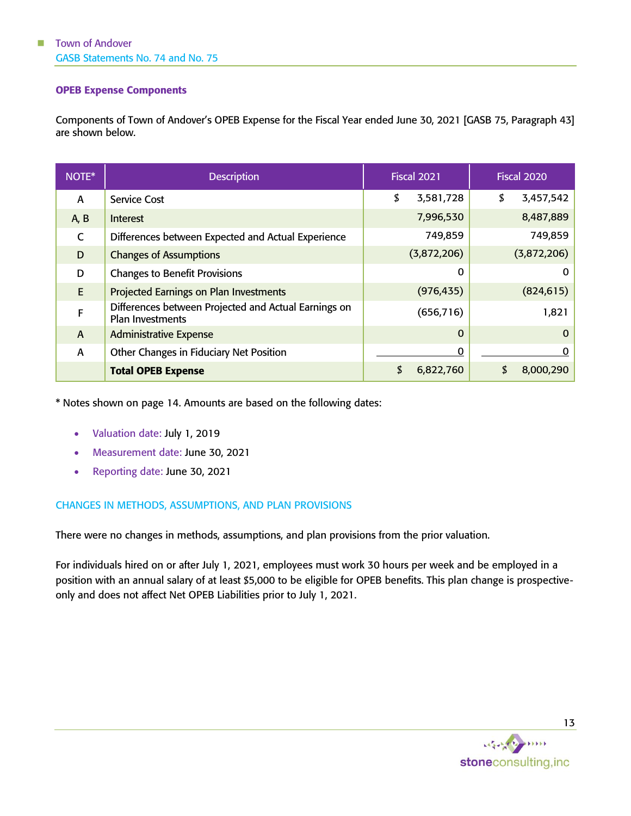#### <span id="page-15-0"></span>OPEB Expense Components

Components of Town of Andover's OPEB Expense for the Fiscal Year ended June 30, 2021 [GASB 75, Paragraph 43] are shown below.

| NOTE*          | <b>Description</b>                                                              | <b>Fiscal 2021</b> | <b>Fiscal 2020</b> |
|----------------|---------------------------------------------------------------------------------|--------------------|--------------------|
| A              | <b>Service Cost</b>                                                             | \$<br>3,581,728    | \$<br>3,457,542    |
| A, B           | Interest                                                                        | 7,996,530          | 8,487,889          |
| C              | Differences between Expected and Actual Experience                              | 749,859            | 749,859            |
| D              | <b>Changes of Assumptions</b>                                                   | (3,872,206)        | (3,872,206)        |
| D              | <b>Changes to Benefit Provisions</b>                                            | 0                  | 0                  |
| E              | <b>Projected Earnings on Plan Investments</b>                                   | (976, 435)         | (824, 615)         |
| F              | Differences between Projected and Actual Earnings on<br><b>Plan Investments</b> | (656, 716)         | 1,821              |
| $\overline{A}$ | <b>Administrative Expense</b>                                                   | $\mathbf 0$        | $\Omega$           |
| A              | Other Changes in Fiduciary Net Position                                         | $\mathbf 0$        | 0                  |
|                | <b>Total OPEB Expense</b>                                                       | \$<br>6,822,760    | 8,000,290          |

\* Notes shown on page [14.](#page-16-0) Amounts are based on the following dates:

- Valuation date: July 1, 2019
- Measurement date: June 30, 2021
- Reporting date: June 30, 2021

#### CHANGES IN METHODS, ASSUMPTIONS, AND PLAN PROVISIONS

There were no changes in methods, assumptions, and plan provisions from the prior valuation.

For individuals hired on or after July 1, 2021, employees must work 30 hours per week and be employed in a position with an annual salary of at least \$5,000 to be eligible for OPEB benefits. This plan change is prospectiveonly and does not affect Net OPEB Liabilities prior to July 1, 2021.

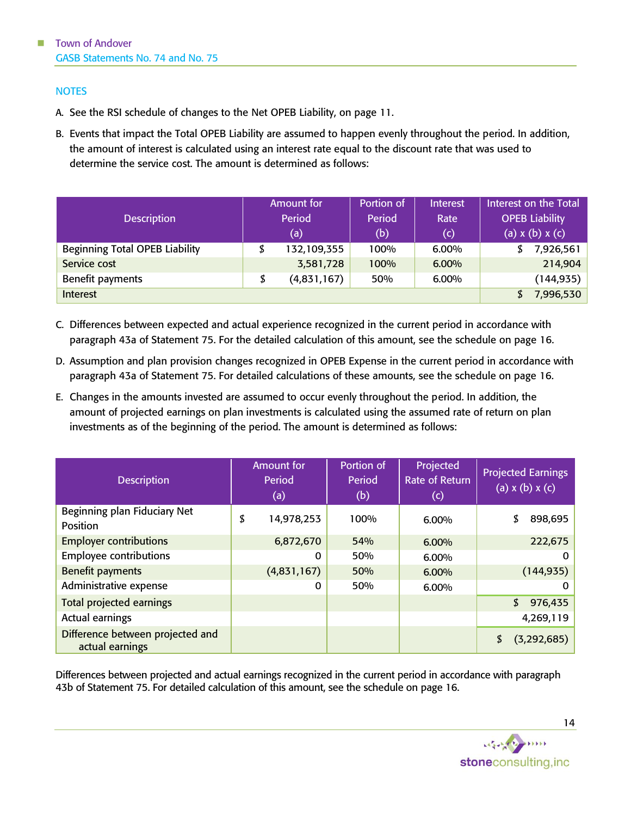#### <span id="page-16-0"></span>**NOTES**

- A. See the RSI schedule of changes to the Net OPEB Liability, on page [11.](#page-13-0)
- B. Events that impact the Total OPEB Liability are assumed to happen evenly throughout the period. In addition, the amount of interest is calculated using an interest rate equal to the discount rate that was used to determine the service cost. The amount is determined as follows:

| <b>Description</b>                    | Amount for<br>Period | Portion of<br>Period | <b>Interest</b><br>Rate |    | Interest on the Total<br><b>OPEB Liability</b> |
|---------------------------------------|----------------------|----------------------|-------------------------|----|------------------------------------------------|
|                                       | (a)                  | (b)                  | (c)                     |    | (a) $x(b)$ $x(c)$                              |
| <b>Beginning Total OPEB Liability</b> | 132,109,355          | 100%                 | 6.00%                   | S  | 7,926,561                                      |
| Service cost                          | 3,581,728            | 100%                 | 6.00%                   |    | 214,904                                        |
| Benefit payments                      | (4,831,167)          | 50%                  | 6.00%                   |    | (144, 935)                                     |
| Interest                              |                      |                      |                         | S. | 7,996,530                                      |

- C. Differences between expected and actual experience recognized in the current period in accordance with paragraph 43a of Statement 75. For the detailed calculation of this amount, see the schedule on page [16.](#page-18-0)
- D. Assumption and plan provision changes recognized in OPEB Expense in the current period in accordance with paragraph 43a of Statement 75. For detailed calculations of these amounts, see the schedule on page [16.](#page-18-0)
- E. Changes in the amounts invested are assumed to occur evenly throughout the period. In addition, the amount of projected earnings on plan investments is calculated using the assumed rate of return on plan investments as of the beginning of the period. The amount is determined as follows:

| <b>Description</b>                                  | <b>Amount for</b><br>Period<br>(a) | Portion of<br>Period<br>(b) | Projected<br><b>Rate of Return</b><br>$\left(  c \right)$ | <b>Projected Earnings</b><br>$(a)$ x $(b)$ x $(c)$ |
|-----------------------------------------------------|------------------------------------|-----------------------------|-----------------------------------------------------------|----------------------------------------------------|
| Beginning plan Fiduciary Net<br>Position            | \$<br>14,978,253                   | 100%                        | 6.00%                                                     | \$<br>898,695                                      |
| <b>Employer contributions</b>                       | 6,872,670                          | 54%                         | 6.00%                                                     | 222,675                                            |
| <b>Employee contributions</b>                       | 0                                  | 50%                         | 6.00%                                                     | 0                                                  |
| <b>Benefit payments</b>                             | (4,831,167)                        | 50%                         | 6.00%                                                     | (144, 935)                                         |
| Administrative expense                              | $\Omega$                           | 50%                         | 6.00%                                                     | 0                                                  |
| <b>Total projected earnings</b>                     |                                    |                             |                                                           | \$<br>976,435                                      |
| Actual earnings                                     |                                    |                             |                                                           | 4,269,119                                          |
| Difference between projected and<br>actual earnings |                                    |                             |                                                           | (3,292,685)                                        |

Differences between projected and actual earnings recognized in the current period in accordance with paragraph 43b of Statement 75. For detailed calculation of this amount, see the schedule on page [16.](#page-18-0)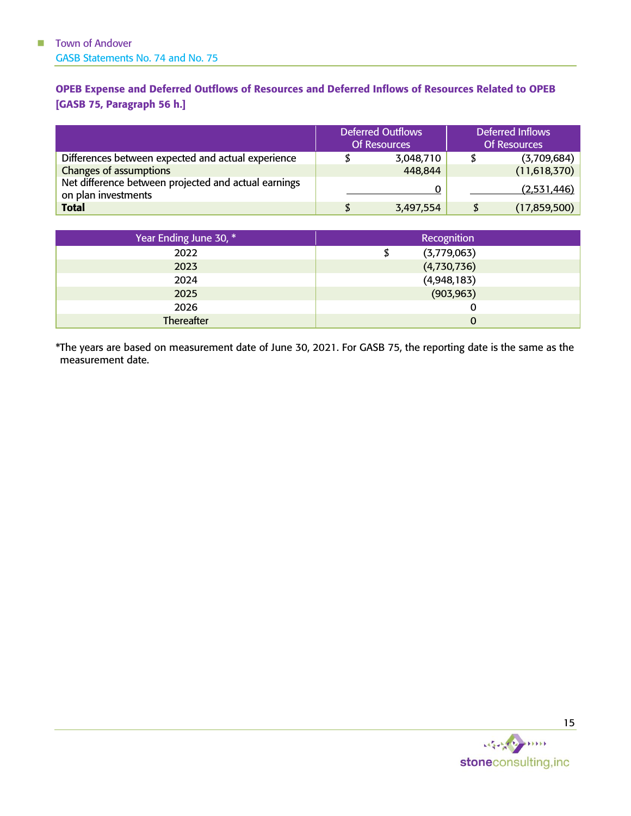### <span id="page-17-0"></span>OPEB Expense and Deferred Outflows of Resources and Deferred Inflows of Resources Related to OPEB [GASB 75, Paragraph 56 h.]

|                                                                             | <b>Deferred Outflows</b><br><b>Of Resources</b> | Deferred Inflows<br><b>Of Resources</b> |
|-----------------------------------------------------------------------------|-------------------------------------------------|-----------------------------------------|
| Differences between expected and actual experience                          | 3,048,710                                       | (3,709,684)                             |
| Changes of assumptions                                                      | 448,844                                         | (11,618,370)                            |
| Net difference between projected and actual earnings<br>on plan investments |                                                 | (2,531,446)                             |
| <b>Total</b>                                                                | 3,497,554                                       | \$<br>(17, 859, 500)                    |

| Year Ending June 30, * | <b>Recognition</b> |
|------------------------|--------------------|
| 2022                   | (3,779,063)        |
| 2023                   | (4,730,736)        |
| 2024                   | (4,948,183)        |
| 2025                   | (903, 963)         |
| 2026                   |                    |
| Thereafter             | 0                  |

\*The years are based on measurement date of June 30, 2021. For GASB 75, the reporting date is the same as the measurement date.

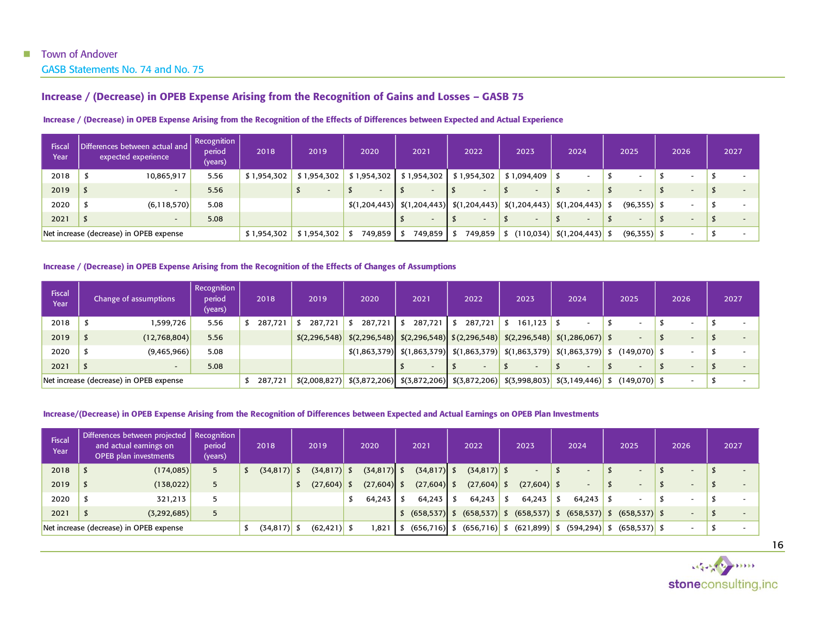GASB Statements No. 74 and No. 75

#### Increase / (Decrease) in OPEB Expense Arising from the Recognition of Gains and Losses – GASB 75

| Fiscal<br>Year | Differences between actual and<br>expected experience | Recognition<br>period<br>(years) | 2018        | 2019                     | 2020                     | 2021        | 2022                                                                                                        | 2023                     | 2024                        | 2025                     | 2026 | 2027                     |
|----------------|-------------------------------------------------------|----------------------------------|-------------|--------------------------|--------------------------|-------------|-------------------------------------------------------------------------------------------------------------|--------------------------|-----------------------------|--------------------------|------|--------------------------|
| 2018           | 10,865,917                                            | 5.56                             | \$1,954,302 | \$1,954,302              | \$1,954,302              | \$1,954,302 | \$1,954,302                                                                                                 | \$1,094,409              |                             | $\overline{\phantom{0}}$ |      |                          |
| 2019           | $\overline{\phantom{0}}$                              | 5.56                             |             | $\overline{\phantom{a}}$ | $\overline{\phantom{a}}$ |             | $\overline{\phantom{0}}$                                                                                    | $\overline{\phantom{a}}$ | $\overline{\phantom{a}}$    | $\overline{\phantom{0}}$ |      | $\overline{\phantom{a}}$ |
| 2020           | (6, 118, 570)                                         | 5.08                             |             |                          |                          |             | $\left  \frac{\xi(1,204,443)}{\xi(1,204,443)} \right  \left  \frac{\xi(1,204,443)}{\xi(1,204,443)} \right $ |                          | $\frac{1}{2}(1,204,443)$ \$ | $(96,355)$ \$            |      | $\overline{\phantom{a}}$ |
| 2021           | $\overline{\phantom{0}}$                              | 5.08                             |             |                          |                          |             | $\overline{\phantom{0}}$                                                                                    | $\overline{\phantom{a}}$ | $\overline{\phantom{0}}$    | $\overline{\phantom{0}}$ |      | $\overline{\phantom{0}}$ |
|                | Net increase (decrease) in OPEB expense               |                                  | \$1,954,302 | \$1,954,302              | 749,859 \$               | 749,859     | 749,859                                                                                                     | (110, 034)               | $  \t5(1,204,443)   \t5$    | $(96,355)$ \$            |      |                          |

#### Increase / (Decrease) in OPEB Expense Arising from the Recognition of the Effects of Differences between Expected and Actual Experience

#### Increase / (Decrease) in OPEB Expense Arising from the Recognition of the Effects of Changes of Assumptions

<span id="page-18-0"></span>

| Fiscal<br>Year                          |  | Change of assumptions | Recognition<br>period<br>(years) | 2018                                                                                                                                                                                                           | 2019                                                                                                                                            | 2020                                                                                                                                          |  | 2021    | 2022 |         | 2023 |                          | 2024 |  | 2025                                                                             |                          | 2026 |  | 2027 |  |  |
|-----------------------------------------|--|-----------------------|----------------------------------|----------------------------------------------------------------------------------------------------------------------------------------------------------------------------------------------------------------|-------------------------------------------------------------------------------------------------------------------------------------------------|-----------------------------------------------------------------------------------------------------------------------------------------------|--|---------|------|---------|------|--------------------------|------|--|----------------------------------------------------------------------------------|--------------------------|------|--|------|--|--|
| 2018                                    |  | 1,599,726             | 5.56                             | 287,721                                                                                                                                                                                                        | 287.721                                                                                                                                         | 287.721                                                                                                                                       |  | 287,721 |      | 287,721 | . SI | $161, 123$ \$            |      |  |                                                                                  |                          |      |  |      |  |  |
| 2019                                    |  | (12,768,804)          | 5.56                             |                                                                                                                                                                                                                | $\left  \frac{6}{2296,548} \right  \frac{2296,548}{2296,548}$ (2,296,548) $\left  \frac{6}{2296,548} \right  \frac{6}{2296,548}$ (1,286,067) \$ |                                                                                                                                               |  |         |      |         |      |                          |      |  |                                                                                  |                          |      |  |      |  |  |
| 2020                                    |  | (9,465,966)           | 5.08                             |                                                                                                                                                                                                                |                                                                                                                                                 | $\frac{1}{2}$ (1,863,379) $\frac{1}{2}$ (1,863,379) $\frac{1}{2}$ (1,863,379) $\frac{1}{2}$ (1,863,379) $\frac{1}{2}$ (149,070) $\frac{1}{2}$ |  |         |      |         |      |                          |      |  |                                                                                  |                          |      |  |      |  |  |
| 2021                                    |  |                       | 5.08                             |                                                                                                                                                                                                                |                                                                                                                                                 |                                                                                                                                               |  |         |      |         |      | $\overline{\phantom{0}}$ |      |  |                                                                                  | $\overline{\phantom{0}}$ |      |  |      |  |  |
| Net increase (decrease) in OPEB expense |  |                       | 287,721                          | $\left  \frac{2}{32008,827} \right  \left  \frac{2}{3872,206} \right  \left  \frac{2}{3872,206} \right  \left  \frac{2}{3872,206} \right  \left  \frac{2}{3872,206} \right  \left  \frac{2}{3998,803} \right $ |                                                                                                                                                 |                                                                                                                                               |  |         |      |         |      |                          |      |  | $\left  \frac{2}{3}\right $ (3,149,446) $\left  \frac{2}{3}\right $ (149,070) \$ |                          |      |  |      |  |  |

#### Increase/(Decrease) in OPEB Expense Arising from the Recognition of Differences between Expected and Actual Earnings on OPEB Plan Investments

| Fiscal<br>Year | Differences between projected   Recognition  <br>and actual earnings on<br><b>OPEB</b> plan investments | period<br>(years) | 2018      | 2019           | 2020          |  | 2021          |      | 2022                            | 2023            | 2024            | 2025                     | 2026                     | 2027                     |
|----------------|---------------------------------------------------------------------------------------------------------|-------------------|-----------|----------------|---------------|--|---------------|------|---------------------------------|-----------------|-----------------|--------------------------|--------------------------|--------------------------|
| 2018           | (174, 085)                                                                                              | 5                 | (34, 817) | $(34,817)$ \$  | $(34,817)$ \$ |  | $(34,817)$ \$ |      | $(34,817)$ \$                   |                 |                 | $\overline{\phantom{a}}$ | $\sim$                   |                          |
| 2019           | (138, 022)                                                                                              | 5                 |           | (27,604)       | $(27,604)$ \$ |  | $(27,604)$ \$ |      | $(27,604)$ \$                   | $(27,604)$ \$   | $\sim$          | $\overline{\phantom{0}}$ | $\overline{\phantom{0}}$ | $\overline{\phantom{a}}$ |
| 2020           | 321,213                                                                                                 | 5                 |           |                | $64,243$ \$   |  | 64,243        | - \$ | 64,243                          | 64,243          | 64,243          |                          |                          |                          |
| 2021           | (3,292,685)                                                                                             | 5                 |           |                |               |  |               |      | $(658, 537)$ \$ $(658, 537)$ \$ | $(658, 537)$ \$ | $(658, 537)$ \$ | $(658, 537)$ \$          |                          |                          |
|                | Net increase (decrease) in OPEB expense                                                                 |                   | (34, 817) | $(62, 421)$ \$ | 1,821         |  |               |      | $(656, 716)$ \$ $(656, 716)$ \$ | $(621, 899)$ \$ | $(594, 294)$ \$ | $(658, 537)$ \$          |                          |                          |



16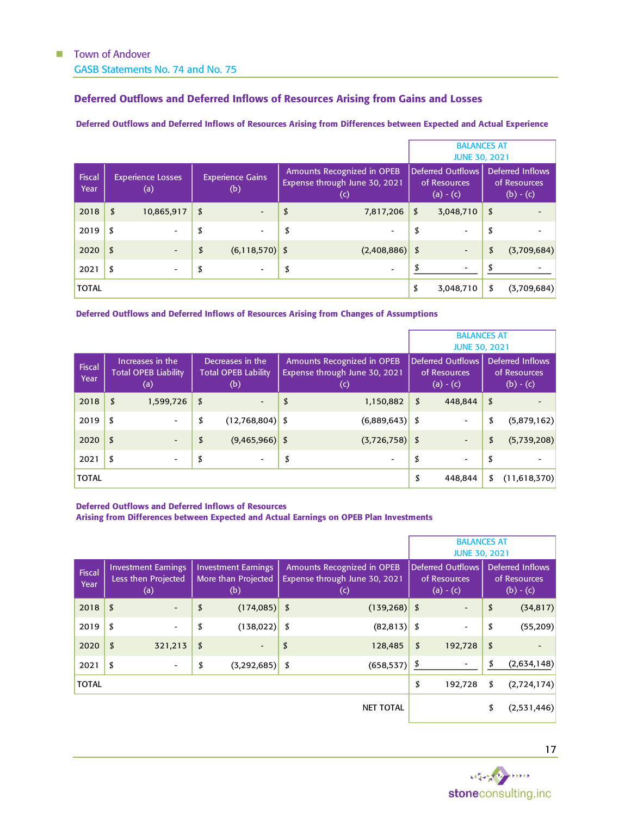### <span id="page-19-0"></span>Deferred Outflows and Deferred Inflows of Resources Arising from Gains and Losses

#### Deferred Outflows and Deferred Inflows of Resources Arising from Differences between Expected and Actual Experience

|                |                                 | <b>BALANCES AT</b><br><b>JUNE 30, 2021</b> |                                                                                          |                                                         |                                                 |             |  |
|----------------|---------------------------------|--------------------------------------------|------------------------------------------------------------------------------------------|---------------------------------------------------------|-------------------------------------------------|-------------|--|
| Fiscal<br>Year | <b>Experience Losses</b><br>(a) | <b>Experience Gains</b><br>(b)             | <b>Amounts Recognized in OPEB</b><br>Expense through June 30, 2021<br>$\left( 0 \right)$ | <b>Deferred Outflows</b><br>of Resources<br>$(a) - (c)$ | Deferred Inflows<br>of Resources<br>$(b) - (c)$ |             |  |
| 2018           | \$<br>10,865,917                | \$                                         | \$<br>7,817,206                                                                          | \$<br>3,048,710                                         | \$                                              |             |  |
| 2019           | \$<br>$\overline{\phantom{a}}$  | \$                                         | \$<br>٠                                                                                  | \$<br>$\overline{\phantom{a}}$                          | \$                                              |             |  |
| 2020           | \$<br>$\overline{\phantom{a}}$  | \$<br>$(6, 118, 570)$ \$                   | $(2,408,886)$ \$                                                                         | $\overline{\phantom{a}}$                                | \$                                              | (3,709,684) |  |
| 2021           | \$<br>$\overline{\phantom{a}}$  | \$                                         | \$<br>$\overline{\phantom{a}}$                                                           | $\overline{\phantom{a}}$                                | \$                                              |             |  |
| <b>TOTAL</b>   |                                 |                                            |                                                                                          | \$<br>3,048,710                                         | \$                                              | (3,709,684) |  |

Deferred Outflows and Deferred Inflows of Resources Arising from Changes of Assumptions

|                |                            |                                                        |    |                                                       |    | <b>BALANCES AT</b><br><b>JUNE 30, 2021</b>                         |    |                                                         |    |                                                 |
|----------------|----------------------------|--------------------------------------------------------|----|-------------------------------------------------------|----|--------------------------------------------------------------------|----|---------------------------------------------------------|----|-------------------------------------------------|
| Fiscal<br>Year |                            | Increases in the<br><b>Total OPEB Liability</b><br>(a) |    | Decreases in the<br><b>Total OPEB Lability</b><br>(b) |    | Amounts Recognized in OPEB<br>Expense through June 30, 2021<br>(c) |    | <b>Deferred Outflows</b><br>of Resources<br>$(a) - (c)$ |    | Deferred Inflows<br>of Resources<br>$(b) - (c)$ |
| 2018           | \$                         | 1,599,726                                              | \$ | $\overline{\phantom{m}}$                              | \$ | 1,150,882                                                          | \$ | 448,844                                                 | \$ |                                                 |
| 2019           | \$                         | $\overline{\phantom{0}}$                               | \$ | $(12,768,804)$ \$                                     |    | $(6,889,643)$ \$                                                   |    | $\overline{\phantom{a}}$                                | \$ | (5,879,162)                                     |
| 2020           | $\boldsymbol{\mathcal{L}}$ | $\overline{\phantom{0}}$                               | \$ | $(9,465,966)$ \$                                      |    | $(3,726,758)$ \$                                                   |    | $\overline{\phantom{a}}$                                | \$ | (5,739,208)                                     |
| 2021           | \$                         | $\overline{\phantom{a}}$                               | \$ |                                                       | \$ | $\overline{\phantom{0}}$                                           | \$ | $\overline{\phantom{a}}$                                | \$ |                                                 |
| <b>TOTAL</b>   |                            |                                                        |    |                                                       |    |                                                                    | \$ | 448,844                                                 | \$ | (11,618,370)                                    |

Deferred Outflows and Deferred Inflows of Resources

Arising from Differences between Expected and Actual Earnings on OPEB Plan Investments

|                       |                                                          |                          |                                                          |    |                                                                          | <b>BALANCES AT</b><br><b>JUNE 30, 2021</b> |                                                         |    |                                                 |  |
|-----------------------|----------------------------------------------------------|--------------------------|----------------------------------------------------------|----|--------------------------------------------------------------------------|--------------------------------------------|---------------------------------------------------------|----|-------------------------------------------------|--|
| <b>Fiscal</b><br>Year | <b>Investment Earnings</b><br>Less then Projected<br>(a) |                          | <b>Investment Earnings</b><br>More than Projected<br>(b) |    | Amounts Recognized in OPEB<br>Expense through June 30, 2021<br>$\left( $ |                                            | <b>Deferred Outflows</b><br>of Resources<br>$(a) - (c)$ |    | Deferred Inflows<br>of Resources<br>$(b) - (c)$ |  |
| 2018                  | \$                                                       | $\overline{\phantom{a}}$ | \$<br>$(174,085)$ \$                                     |    | $(139, 268)$ \$                                                          |                                            |                                                         | \$ | (34, 817)                                       |  |
| 2019                  | \$                                                       | $\overline{\phantom{a}}$ | \$<br>$(138,022)$ \$                                     |    | $(82,813)$ \$                                                            |                                            |                                                         | \$ | (55, 209)                                       |  |
| 2020                  | \$                                                       | 321,213                  | \$                                                       | \$ | 128,485                                                                  | \$                                         | 192,728                                                 | \$ |                                                 |  |
| 2021                  | \$                                                       | $\overline{\phantom{a}}$ | \$<br>$(3,292,685)$ \$                                   |    | (658, 537)                                                               | \$                                         |                                                         | \$ | (2,634,148)                                     |  |
| <b>TOTAL</b>          |                                                          |                          |                                                          |    |                                                                          | \$                                         | 192,728                                                 | \$ | (2,724,174)                                     |  |
|                       |                                                          |                          |                                                          |    | <b>NET TOTAL</b>                                                         |                                            |                                                         | \$ | (2,531,446)                                     |  |

Service Marine stoneconsulting, inc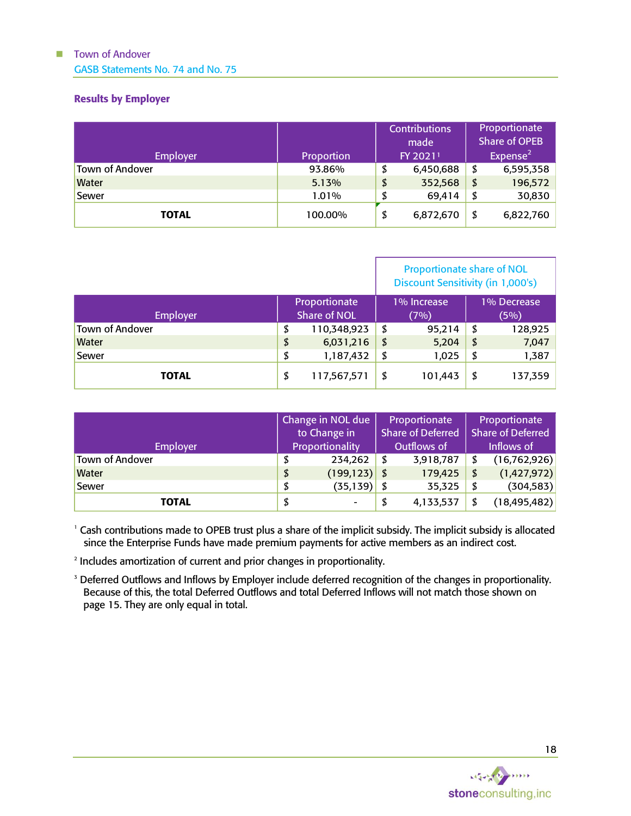GASB Statements No. 74 and No. 75

### <span id="page-20-0"></span>Results by Employer

|                 |            | <b>Contributions</b><br>made |           |             | Proportionate<br><b>Share of OPEB</b> |  |
|-----------------|------------|------------------------------|-----------|-------------|---------------------------------------|--|
| <b>Employer</b> | Proportion |                              | FY 20211  | Expense $2$ |                                       |  |
| Town of Andover | 93.86%     |                              | 6,450,688 | \$          | 6,595,358                             |  |
| <b>Water</b>    | 5.13%      | \$                           | 352,568   | \$          | 196,572                               |  |
| Sewer           | 1.01%      |                              | 69,414    | \$          | 30,830                                |  |
| <b>TOTAL</b>    | 100.00%    | \$                           | 6,872,670 | \$          | 6,822,760                             |  |

|                 |                                      |             | <b>Proportionate share of NOL</b><br>Discount Sensitivity (in 1,000's) |         |                     |         |  |
|-----------------|--------------------------------------|-------------|------------------------------------------------------------------------|---------|---------------------|---------|--|
| Employer        | Proportionate<br><b>Share of NOL</b> |             | 1% Increase<br>(7%)                                                    |         | 1% Decrease<br>(5%) |         |  |
| Town of Andover | \$                                   | 110,348,923 | - S                                                                    | 95,214  | - \$                | 128,925 |  |
| <b>Water</b>    | \$                                   | 6,031,216   | - \$                                                                   | 5,204   | - \$                | 7,047   |  |
| <b>Sewer</b>    | 1,187,432<br>\$                      |             | \$                                                                     | 1,025   | \$                  | 1,387   |  |
| TOTAL           | \$                                   | 117,567,571 | - S                                                                    | 101,443 | \$                  | 137,359 |  |

|                 | Change in NOL due<br>to Change in |                 | Proportionate<br><b>Share of Deferred</b> |           | Proportionate<br>Share of Deferred |                |
|-----------------|-----------------------------------|-----------------|-------------------------------------------|-----------|------------------------------------|----------------|
| <b>Employer</b> | Proportionality                   |                 | Outflows of                               |           | Inflows of                         |                |
| Town of Andover | \$                                | 234,262         | \$                                        | 3,918,787 |                                    | (16, 762, 926) |
| <b>Water</b>    | \$                                | $(199, 123)$ \$ |                                           | 179,425   | \$                                 | (1,427,972)    |
| Sewer           | \$                                | $(35, 139)$ \$  |                                           | 35,325    | \$                                 | (304, 583)     |
| <b>TOTAL</b>    | \$                                | -               |                                           | 4,133,537 | \$                                 | (18, 495, 482) |

<sup>1</sup> Cash contributions made to OPEB trust plus a share of the implicit subsidy. The implicit subsidy is allocated since the Enterprise Funds have made premium payments for active members as an indirect cost.

2 Includes amortization of current and prior changes in proportionality.

<sup>3</sup> Deferred Outflows and Inflows by Employer include deferred recognition of the changes in proportionality. Because of this, the total Deferred Outflows and total Deferred Inflows will not match those shown on page 15. They are only equal in total.

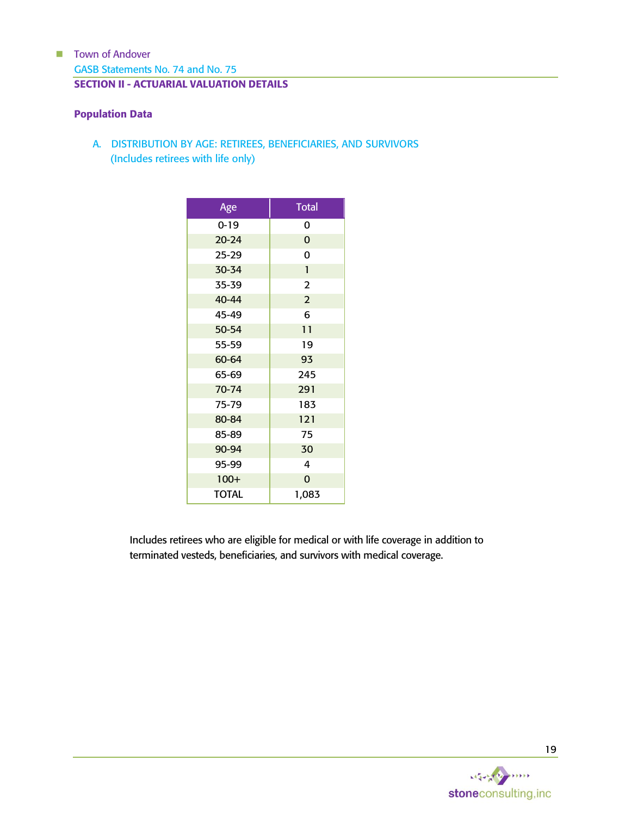<span id="page-21-0"></span>GASB Statements No. 74 and No. 75 SECTION II - ACTUARIAL VALUATION DETAILS

### <span id="page-21-1"></span>Population Data

A. DISTRIBUTION BY AGE: RETIREES, BENEFICIARIES, AND SURVIVORS (Includes retirees with life only)

| Age          | <b>Total</b>   |
|--------------|----------------|
| $0 - 19$     | 0              |
| $20 - 24$    | $\mathbf 0$    |
| $25 - 29$    | 0              |
| 30-34        | $\mathbf{1}$   |
| 35-39        | $\overline{2}$ |
| 40-44        | $\overline{2}$ |
| 45-49        | 6              |
| 50-54        | 11             |
| 55-59        | 19             |
| 60-64        | 93             |
| 65-69        | 245            |
| 70-74        | 291            |
| 75-79        | 183            |
| 80-84        | 121            |
| 85-89        | 75             |
| 90-94        | 30             |
| 95-99        | 4              |
| $100+$       | $\overline{0}$ |
| <b>TOTAL</b> | 1,083          |

Includes retirees who are eligible for medical or with life coverage in addition to terminated vesteds, beneficiaries, and survivors with medical coverage.

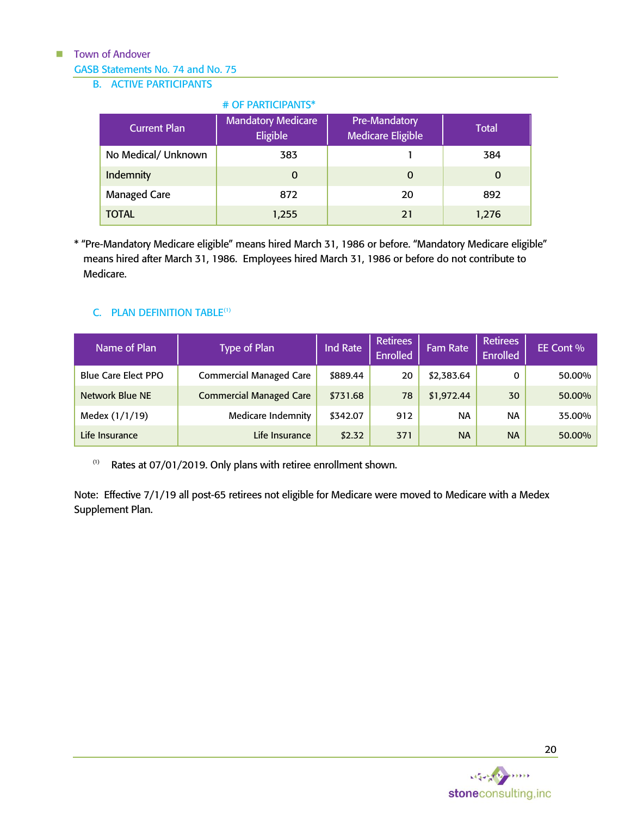### GASB Statements No. 74 and No. 75

### B. ACTIVE PARTICIPANTS

### # OF PARTICIPANTS\* Current Plan Mandatory Medicare Eligible Pre-Mandatory Medicare Eligible Total No Medical/ Unknown | 383 | 384 Indemnity and the contract of the contract of the contract of the contract of the contract of the contract of the contract of the contract of the contract of the contract of the contract of the contract of the contract of Managed Care **872** 20 892 TOTAL 1,255 21 1,276

\* "Pre-Mandatory Medicare eligible" means hired March 31, 1986 or before. "Mandatory Medicare eligible" means hired after March 31, 1986. Employees hired March 31, 1986 or before do not contribute to Medicare.

### C. PLAN DEFINITION TABLE<sup>(1)</sup>

| Name of Plan               | Type of Plan                   | Ind Rate | <b>Retirees</b><br><b>Enrolled</b> | <b>Fam Rate</b> | <b>Retirees</b><br><b>Enrolled</b> | EE Cont % |
|----------------------------|--------------------------------|----------|------------------------------------|-----------------|------------------------------------|-----------|
| <b>Blue Care Elect PPO</b> | <b>Commercial Managed Care</b> | \$889.44 | 20                                 | \$2,383.64      | 0                                  | 50.00%    |
| Network Blue NE            | <b>Commercial Managed Care</b> | \$731.68 | 78                                 | \$1,972.44      | 30                                 | 50.00%    |
| Medex (1/1/19)             | Medicare Indemnity             | \$342.07 | 912                                | <b>NA</b>       | <b>NA</b>                          | 35.00%    |
| Life Insurance             | Life Insurance                 | \$2.32   | 371                                | <b>NA</b>       | <b>NA</b>                          | 50.00%    |

 $(1)$  Rates at 07/01/2019. Only plans with retiree enrollment shown.

Note: Effective 7/1/19 all post-65 retirees not eligible for Medicare were moved to Medicare with a Medex Supplement Plan.

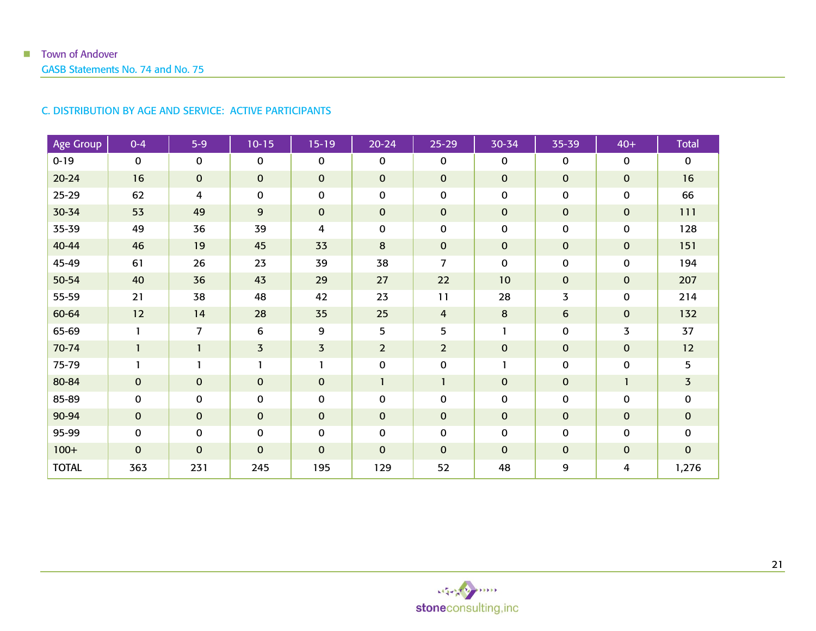#### C. DISTRIBUTION BY AGE AND SERVICE: ACTIVE PARTICIPANTS

| Age Group    | $0 - 4$     | $5-9$          | $10 - 15$      | $15 - 19$               | $20 - 24$        | $25 - 29$      | 30-34        | 35-39          | $40+$        | <b>Total</b>   |
|--------------|-------------|----------------|----------------|-------------------------|------------------|----------------|--------------|----------------|--------------|----------------|
| $0 - 19$     | 0           | $\mathbf 0$    | $\mathbf{0}$   | 0                       | $\mathbf 0$      | 0              | $\mathbf{0}$ | 0              | 0            | $\mathbf 0$    |
| $20 - 24$    | 16          | $\mathbf{0}$   | $\mathbf{0}$   | $\mathbf 0$             | $\mathbf{0}$     | $\mathbf 0$    | $\mathbf{0}$ | $\mathbf 0$    | $\pmb{0}$    | 16             |
| $25 - 29$    | 62          | 4              | $\mathbf 0$    | $\pmb{0}$               | $\mathbf 0$      | 0              | 0            | 0              | $\pmb{0}$    | 66             |
| 30-34        | 53          | 49             | 9              | $\mathbf 0$             | $\mathbf{O}$     | 0              | $\mathbf{0}$ | $\mathbf 0$    | $\mathbf 0$  | 111            |
| 35-39        | 49          | 36             | 39             | 4                       | $\mathbf 0$      | 0              | 0            | 0              | $\pmb{0}$    | 128            |
| 40-44        | 46          | 19             | 45             | 33                      | $\boldsymbol{8}$ | 0              | $\mathbf{0}$ | $\pmb{0}$      | $\mathbf 0$  | 151            |
| 45-49        | 61          | 26             | 23             | 39                      | 38               | 7              | 0            | 0              | 0            | 194            |
| 50-54        | 40          | 36             | 43             | 29                      | 27               | 22             | 10           | $\mathbf 0$    | $\pmb{0}$    | 207            |
| 55-59        | 21          | 38             | 48             | 42                      | 23               | 11             | 28           | $\overline{3}$ | $\pmb{0}$    | 214            |
| 60-64        | 12          | 14             | 28             | 35                      | 25               | 4              | 8            | 6              | $\mathbf 0$  | 132            |
| 65-69        | 1           | $\overline{7}$ | 6              | 9                       | 5                | 5              |              | 0              | 3            | 37             |
| 70-74        | 1           | $\mathbf{1}$   | $\overline{3}$ | $\overline{\mathbf{3}}$ | $\overline{2}$   | $\overline{2}$ | $\mathbf 0$  | $\pmb{0}$      | $\pmb{0}$    | 12             |
| 75-79        | 1           |                |                | 1                       | $\mathbf 0$      | 0              |              | $\mathbf 0$    | $\pmb{0}$    | 5              |
| 80-84        | $\mathbf 0$ | $\mathbf{0}$   | $\mathbf{0}$   | $\mathbf 0$             | $\mathbf{1}$     | 1              | $\mathbf{0}$ | $\pmb{0}$      | $\mathbf{1}$ | $\overline{3}$ |
| 85-89        | $\pmb{0}$   | 0              | $\mathbf 0$    | $\pmb{0}$               | $\mathbf 0$      | 0              | 0            | 0              | $\pmb{0}$    | $\mathbf 0$    |
| 90-94        | $\pmb{0}$   | $\mathbf{0}$   | $\mathbf{0}$   | $\mathbf 0$             | $\mathbf{O}$     | 0              | $\mathbf{0}$ | $\mathbf 0$    | $\pmb{0}$    | $\mathbf 0$    |
| 95-99        | 0           | $\mathbf 0$    | $\mathbf 0$    | $\mathbf 0$             | $\mathbf 0$      | 0              | 0            | 0              | 0            | $\mathbf 0$    |
| $100+$       | $\mathbf 0$ | $\mathbf{0}$   | $\mathbf{0}$   | $\mathbf 0$             | $\mathbf{0}$     | 0              | $\mathbf{0}$ | $\mathbf 0$    | $\mathbf 0$  | $\mathbf{0}$   |
| <b>TOTAL</b> | 363         | 231            | 245            | 195                     | 129              | 52             | 48           | 9              | 4            | 1,276          |

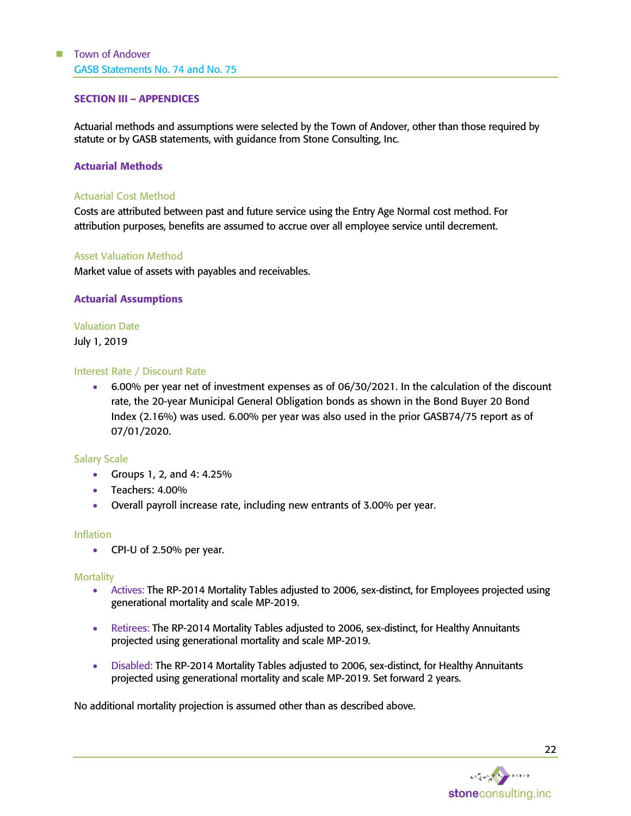#### <span id="page-24-0"></span>SECTION III – APPENDICES

Actuarial methods and assumptions were selected by the Town of Andover, other than those required by statute or by GASB statements, with guidance from Stone Consulting, Inc.

#### <span id="page-24-1"></span>Actuarial Methods

#### Actuarial Cost Method

Costs are attributed between past and future service using the Entry Age Normal cost method. For attribution purposes, benefits are assumed to accrue over all employee service until decrement.

#### Asset Valuation Method

Market value of assets with payables and receivables.

#### <span id="page-24-2"></span>Actuarial Assumptions

# Valuation Date

July 1, 2019

#### Interest Rate / Discount Rate

• 6.00% per year net of investment expenses as of 06/30/2021. In the calculation of the discount rate, the 20-year Municipal General Obligation bonds as shown in the Bond Buyer 20 Bond Index (2.16%) was used. 6.00% per year was also used in the prior GASB74/75 report as of 07/01/2020.

#### Salary Scale

- Groups 1, 2, and 4: 4.25%
- Teachers: 4.00%
- Overall payroll increase rate, including new entrants of 3.00% per year.

#### Inflation

• CPI-U of 2.50% per year.

#### **Mortality**

- Actives: The RP-2014 Mortality Tables adjusted to 2006, sex-distinct, for Employees projected using generational mortality and scale MP-2019.
- Retirees: The RP-2014 Mortality Tables adjusted to 2006, sex-distinct, for Healthy Annuitants projected using generational mortality and scale MP-2019.
- Disabled: The RP-2014 Mortality Tables adjusted to 2006, sex-distinct, for Healthy Annuitants projected using generational mortality and scale MP-2019. Set forward 2 years.

No additional mortality projection is assumed other than as described above.

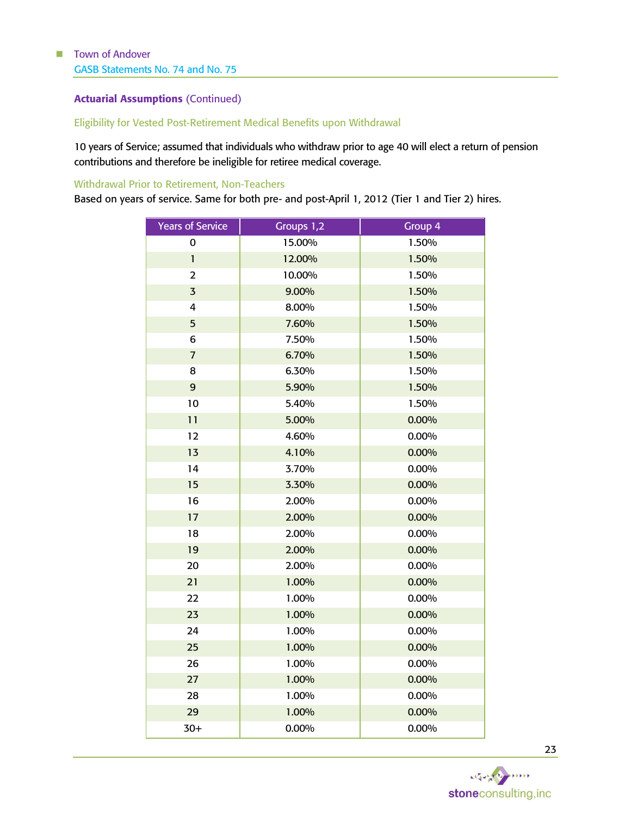### Actuarial Assumptions (Continued)

### Eligibility for Vested Post-Retirement Medical Benefits upon Withdrawal

 years of Service; assumed that individuals who withdraw prior to age 40 will elect a return of pension contributions and therefore be ineligible for retiree medical coverage.

#### Withdrawal Prior to Retirement, Non-Teachers

Based on years of service. Same for both pre- and post-April 1, 2012 (Tier 1 and Tier 2) hires.

| <b>Years of Service</b> | Groups 1,2 | Group 4  |
|-------------------------|------------|----------|
| 0                       | 15.00%     | 1.50%    |
| $\mathbf{1}$            | 12.00%     | 1.50%    |
| $\overline{2}$          | 10.00%     | 1.50%    |
| $\overline{3}$          | 9.00%      | 1.50%    |
| 4                       | 8.00%      | 1.50%    |
| 5                       | 7.60%      | 1.50%    |
| 6                       | 7.50%      | 1.50%    |
| $\overline{I}$          | 6.70%      | 1.50%    |
| 8                       | 6.30%      | 1.50%    |
| 9                       | 5.90%      | 1.50%    |
| 10                      | 5.40%      | 1.50%    |
| 11                      | 5.00%      | 0.00%    |
| 12                      | 4.60%      | 0.00%    |
| 13                      | 4.10%      | 0.00%    |
| 14                      | 3.70%      | 0.00%    |
| 15                      | 3.30%      | $0.00\%$ |
| 16                      | 2.00%      | 0.00%    |
| 17                      | 2.00%      | 0.00%    |
| 18                      | 2.00%      | 0.00%    |
| 19                      | 2.00%      | 0.00%    |
| 20                      | 2.00%      | 0.00%    |
| 21                      | 1.00%      | 0.00%    |
| 22                      | 1.00%      | 0.00%    |
| 23                      | 1.00%      | 0.00%    |
| 24                      | 1.00%      | 0.00%    |
| 25                      | 1.00%      | 0.00%    |
| 26                      | 1.00%      | 0.00%    |
| 27                      | 1.00%      | 0.00%    |
| 28                      | 1.00%      | 0.00%    |
| 29                      | 1.00%      | 0.00%    |
| $30+$                   | 0.00%      | 0.00%    |

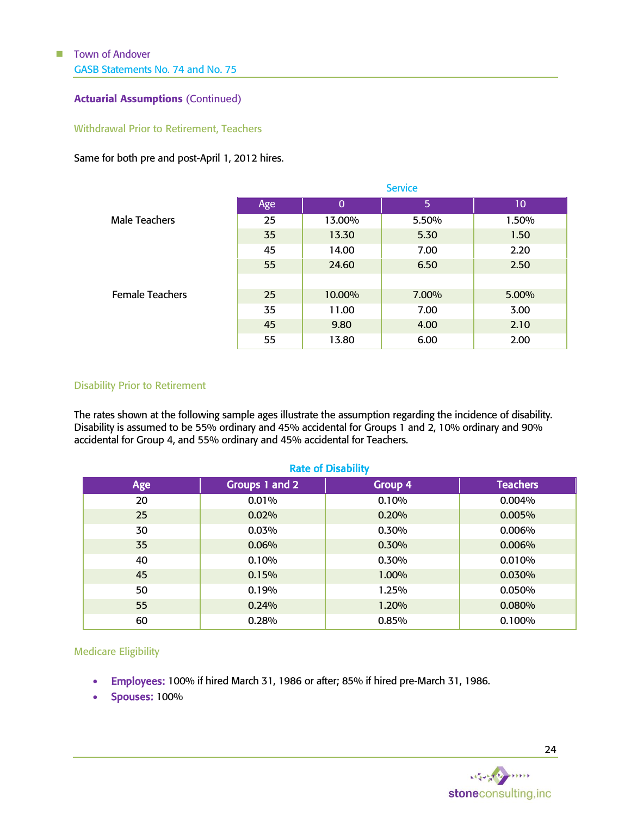### Actuarial Assumptions (Continued)

Withdrawal Prior to Retirement, Teachers

#### Same for both pre and post-April 1, 2012 hires.

|                        | <b>Service</b> |             |       |                 |  |  |  |
|------------------------|----------------|-------------|-------|-----------------|--|--|--|
|                        | Age            | $\mathbf 0$ | 5     | 10 <sub>o</sub> |  |  |  |
| <b>Male Teachers</b>   | 25             | 13.00%      | 5.50% | 1.50%           |  |  |  |
|                        | 35             | 13.30       | 5.30  | 1.50            |  |  |  |
|                        | 45             | 14.00       | 7.00  | 2.20            |  |  |  |
|                        | 55             | 24.60       | 6.50  | 2.50            |  |  |  |
|                        |                |             |       |                 |  |  |  |
| <b>Female Teachers</b> | 25             | 10.00%      | 7.00% | 5.00%           |  |  |  |
|                        | 35             | 11.00       | 7.00  | 3.00            |  |  |  |
|                        | 45             | 9.80        | 4.00  | 2.10            |  |  |  |
|                        | 55             | 13.80       | 6.00  | 2.00            |  |  |  |

#### Disability Prior to Retirement

The rates shown at the following sample ages illustrate the assumption regarding the incidence of disability. Disability is assumed to be 55% ordinary and 45% accidental for Groups 1 and 2, 10% ordinary and 90% accidental for Group 4, and 55% ordinary and 45% accidental for Teachers.

| <b>Rate of Disability</b> |                |         |                 |  |  |  |  |  |
|---------------------------|----------------|---------|-----------------|--|--|--|--|--|
| Age                       | Groups 1 and 2 | Group 4 | <b>Teachers</b> |  |  |  |  |  |
| 20                        | 0.01%          | 0.10%   | 0.004%          |  |  |  |  |  |
| 25                        | 0.02%          | 0.20%   | 0.005%          |  |  |  |  |  |
| 30                        | 0.03%          | 0.30%   | 0.006%          |  |  |  |  |  |
| 35                        | 0.06%          | 0.30%   | 0.006%          |  |  |  |  |  |
| 40                        | 0.10%          | 0.30%   | 0.010%          |  |  |  |  |  |
| 45                        | 0.15%          | 1.00%   | 0.030%          |  |  |  |  |  |
| 50                        | 0.19%          | 1.25%   | 0.050%          |  |  |  |  |  |
| 55                        | 0.24%          | 1.20%   | 0.080%          |  |  |  |  |  |
| 60                        | 0.28%          | 0.85%   | 0.100%          |  |  |  |  |  |

Medicare Eligibility

- Employees: 100% if hired March 31, 1986 or after; 85% if hired pre-March 31, 1986.
- Spouses: 100%

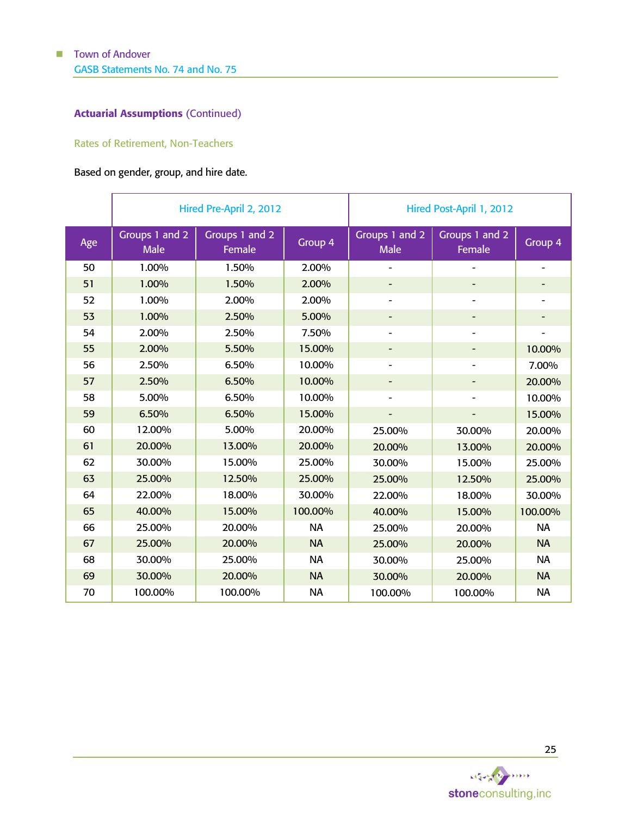### Actuarial Assumptions (Continued)

### Rates of Retirement, Non-Teachers

### Based on gender, group, and hire date.

|     |                               | Hired Pre-April 2, 2012  |           | Hired Post-April 1, 2012      |                              |                              |  |
|-----|-------------------------------|--------------------------|-----------|-------------------------------|------------------------------|------------------------------|--|
| Age | Groups 1 and 2<br><b>Male</b> | Groups 1 and 2<br>Female | Group 4   | Groups 1 and 2<br><b>Male</b> | Groups 1 and 2<br>Female     | Group <sub>4</sub>           |  |
| 50  | 1.00%                         | 1.50%                    | 2.00%     |                               |                              | $\qquad \qquad \blacksquare$ |  |
| 51  | 1.00%                         | 1.50%                    | 2.00%     |                               | -                            | $\overline{\phantom{0}}$     |  |
| 52  | 1.00%                         | 2.00%                    | 2.00%     | $\overline{\phantom{a}}$      | $\overline{\phantom{0}}$     | ۰                            |  |
| 53  | 1.00%                         | 2.50%                    | 5.00%     | $\overline{\phantom{a}}$      | -                            | $\overline{\phantom{a}}$     |  |
| 54  | 2.00%                         | 2.50%                    | 7.50%     | $\overline{\phantom{a}}$      | $\qquad \qquad \blacksquare$ | ۰                            |  |
| 55  | 2.00%                         | 5.50%                    | 15.00%    | -                             | -                            | 10.00%                       |  |
| 56  | 2.50%                         | 6.50%                    | 10.00%    | $\overline{\phantom{a}}$      | $\qquad \qquad \blacksquare$ | 7.00%                        |  |
| 57  | 2.50%                         | 6.50%                    | 10.00%    |                               | -                            | 20.00%                       |  |
| 58  | 5.00%                         | 6.50%                    | 10.00%    |                               | $\overline{\phantom{0}}$     | 10.00%                       |  |
| 59  | 6.50%                         | 6.50%                    | 15.00%    |                               | $\qquad \qquad \blacksquare$ | 15.00%                       |  |
| 60  | 12.00%                        | 5.00%                    | 20.00%    | 25.00%                        | 30.00%                       | 20.00%                       |  |
| 61  | 20.00%                        | 13.00%                   | 20.00%    | 20.00%                        | 13.00%                       | 20.00%                       |  |
| 62  | 30.00%                        | 15.00%                   | 25.00%    | 30.00%                        | 15.00%                       | 25.00%                       |  |
| 63  | 25.00%                        | 12.50%                   | 25.00%    | 25.00%                        | 12.50%                       | 25.00%                       |  |
| 64  | 22.00%                        | 18.00%                   | 30.00%    | 22.00%                        | 18.00%                       | 30.00%                       |  |
| 65  | 40.00%                        | 15.00%                   | 100.00%   | 40.00%                        | 15.00%                       | 100.00%                      |  |
| 66  | 25.00%                        | 20.00%                   | <b>NA</b> | 25.00%                        | 20.00%                       | <b>NA</b>                    |  |
| 67  | 25.00%                        | 20.00%                   | <b>NA</b> | 25.00%                        | 20.00%                       | <b>NA</b>                    |  |
| 68  | 30.00%                        | 25.00%                   | <b>NA</b> | 30.00%                        | 25.00%                       | <b>NA</b>                    |  |
| 69  | 30.00%                        | 20.00%                   | <b>NA</b> | 30.00%                        | 20.00%                       | <b>NA</b>                    |  |
| 70  | 100.00%                       | 100.00%                  | <b>NA</b> | 100.00%                       | 100.00%                      | <b>NA</b>                    |  |

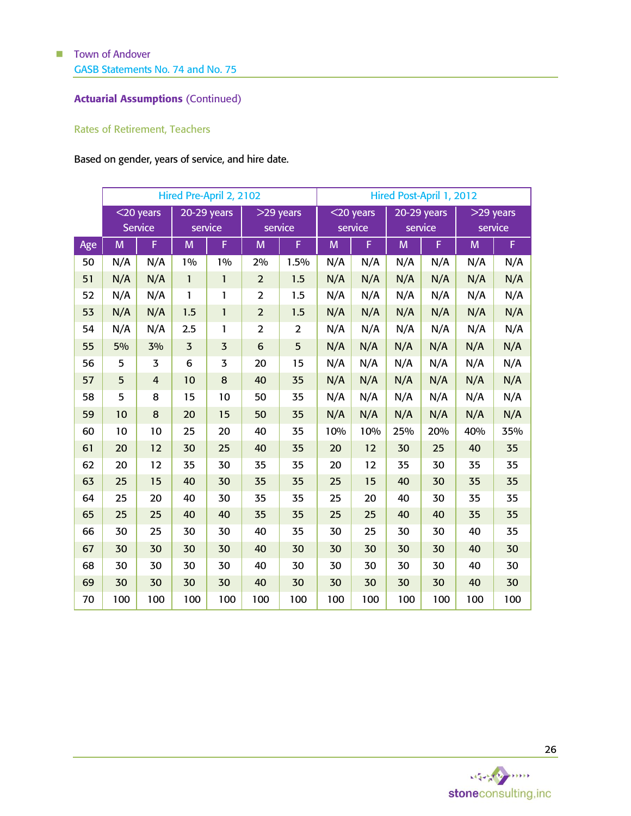### Actuarial Assumptions (Continued)

### Rates of Retirement, Teachers

# Based on gender, years of service, and hire date.

|     | Hired Pre-April 2, 2102        |                |                          |                |                        | Hired Post-April 1, 2012 |                         |     |                          |     |                        |     |
|-----|--------------------------------|----------------|--------------------------|----------------|------------------------|--------------------------|-------------------------|-----|--------------------------|-----|------------------------|-----|
|     | $<$ 20 years<br><b>Service</b> |                | $20-29$ years<br>service |                | $>29$ years<br>service |                          | $<$ 20 years<br>service |     | $20-29$ years<br>service |     | $>29$ years<br>service |     |
| Age | M                              | F              | M                        | F              | M                      | F                        | M                       | F   | M                        | F   | M                      | F   |
| 50  | N/A                            | N/A            | 1%                       | 1%             | 2%                     | 1.5%                     | N/A                     | N/A | N/A                      | N/A | N/A                    | N/A |
| 51  | N/A                            | N/A            | $\mathbf{1}$             | $\mathbf{1}$   | $\overline{2}$         | 1.5                      | N/A                     | N/A | N/A                      | N/A | N/A                    | N/A |
| 52  | N/A                            | N/A            | $\mathbf{1}$             | 1              | 2                      | 1.5                      | N/A                     | N/A | N/A                      | N/A | N/A                    | N/A |
| 53  | N/A                            | N/A            | 1.5                      | 1              | $\overline{2}$         | 1.5                      | N/A                     | N/A | N/A                      | N/A | N/A                    | N/A |
| 54  | N/A                            | N/A            | 2.5                      | 1              | $\overline{2}$         | 2                        | N/A                     | N/A | N/A                      | N/A | N/A                    | N/A |
| 55  | 5%                             | 3%             | $\overline{3}$           | $\overline{3}$ | $6\phantom{1}6$        | 5                        | N/A                     | N/A | N/A                      | N/A | N/A                    | N/A |
| 56  | 5                              | 3              | 6                        | 3              | 20                     | 15                       | N/A                     | N/A | N/A                      | N/A | N/A                    | N/A |
| 57  | 5                              | $\overline{4}$ | 10                       | 8              | 40                     | 35                       | N/A                     | N/A | N/A                      | N/A | N/A                    | N/A |
| 58  | 5                              | 8              | 15                       | 10             | 50                     | 35                       | N/A                     | N/A | N/A                      | N/A | N/A                    | N/A |
| 59  | 10                             | 8              | 20                       | 15             | 50                     | 35                       | N/A                     | N/A | N/A                      | N/A | N/A                    | N/A |
| 60  | 10                             | 10             | 25                       | 20             | 40                     | 35                       | 10%                     | 10% | 25%                      | 20% | 40%                    | 35% |
| 61  | 20                             | 12             | 30                       | 25             | 40                     | 35                       | 20                      | 12  | 30                       | 25  | 40                     | 35  |
| 62  | 20                             | 12             | 35                       | 30             | 35                     | 35                       | 20                      | 12  | 35                       | 30  | 35                     | 35  |
| 63  | 25                             | 15             | 40                       | 30             | 35                     | 35                       | 25                      | 15  | 40                       | 30  | 35                     | 35  |
| 64  | 25                             | 20             | 40                       | 30             | 35                     | 35                       | 25                      | 20  | 40                       | 30  | 35                     | 35  |
| 65  | 25                             | 25             | 40                       | 40             | 35                     | 35                       | 25                      | 25  | 40                       | 40  | 35                     | 35  |
| 66  | 30                             | 25             | 30                       | 30             | 40                     | 35                       | 30                      | 25  | 30                       | 30  | 40                     | 35  |
| 67  | 30                             | 30             | 30                       | 30             | 40                     | 30                       | 30                      | 30  | 30                       | 30  | 40                     | 30  |
| 68  | 30                             | 30             | 30                       | 30             | 40                     | 30                       | 30                      | 30  | 30                       | 30  | 40                     | 30  |
| 69  | 30                             | 30             | 30                       | 30             | 40                     | 30                       | 30                      | 30  | 30                       | 30  | 40                     | 30  |
| 70  | 100                            | 100            | 100                      | 100            | 100                    | 100                      | 100                     | 100 | 100                      | 100 | 100                    | 100 |

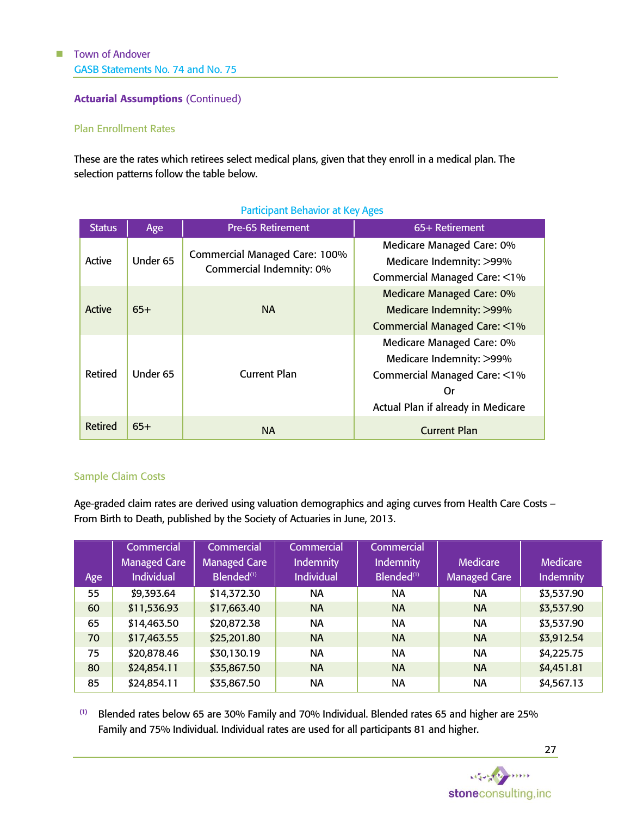Actuarial Assumptions (Continued)

### Plan Enrollment Rates

These are the rates which retirees select medical plans, given that they enroll in a medical plan. The selection patterns follow the table below.

| <b>Status</b> | Age      | <b>Pre-65 Retirement</b>             | 65+ Retirement                                                                        |  |  |
|---------------|----------|--------------------------------------|---------------------------------------------------------------------------------------|--|--|
| Active        | Under 65 | <b>Commercial Managed Care: 100%</b> | Medicare Managed Care: 0%<br>Medicare Indemnity: >99%                                 |  |  |
|               |          | Commercial Indemnity: 0%             | Commercial Managed Care: <1%                                                          |  |  |
| <b>Active</b> | $65+$    |                                      | Medicare Managed Care: 0%                                                             |  |  |
|               |          | <b>NA</b>                            | Medicare Indemnity: >99%                                                              |  |  |
|               |          |                                      | <b>Commercial Managed Care: &lt;1%</b>                                                |  |  |
| Retired       | Under 65 |                                      | Medicare Managed Care: 0%<br>Medicare Indemnity: >99%<br>Commercial Managed Care: <1% |  |  |
|               |          |                                      |                                                                                       |  |  |
|               |          | <b>Current Plan</b>                  |                                                                                       |  |  |
|               |          |                                      | Or                                                                                    |  |  |
|               |          |                                      | Actual Plan if already in Medicare                                                    |  |  |
| Retired       | $65+$    | <b>NA</b>                            | <b>Current Plan</b>                                                                   |  |  |

### Participant Behavior at Key Ages

### Sample Claim Costs

Age-graded claim rates are derived using valuation demographics and aging curves from Health Care Costs – From Birth to Death, published by the Society of Actuaries in June, 2013.

|     | Commercial          | <b>Commercial</b>      | Commercial        | Commercial             |                 |                  |
|-----|---------------------|------------------------|-------------------|------------------------|-----------------|------------------|
|     | <b>Managed Care</b> | <b>Managed Care</b>    | <b>Indemnity</b>  | <b>Indemnity</b>       | <b>Medicare</b> | <b>Medicare</b>  |
| Age | <b>Individual</b>   | Blended <sup>(1)</sup> | <b>Individual</b> | Blended <sup>(1)</sup> | Managed Care    | <b>Indemnity</b> |
| 55  | \$9,393.64          | \$14,372.30            | <b>NA</b>         | <b>NA</b>              | <b>NA</b>       | \$3,537.90       |
| 60  | \$11,536.93         | \$17,663.40            | <b>NA</b>         | <b>NA</b>              | <b>NA</b>       | \$3,537.90       |
| 65  | \$14,463.50         | \$20,872.38            | <b>NA</b>         | NA                     | NA              | \$3,537.90       |
| 70  | \$17,463.55         | \$25,201.80            | <b>NA</b>         | <b>NA</b>              | <b>NA</b>       | \$3,912.54       |
| 75  | \$20,878.46         | \$30,130.19            | <b>NA</b>         | <b>NA</b>              | <b>NA</b>       | \$4,225.75       |
| 80  | \$24,854.11         | \$35,867.50            | <b>NA</b>         | <b>NA</b>              | <b>NA</b>       | \$4,451.81       |
| 85  | \$24,854.11         | \$35,867.50            | <b>NA</b>         | NA                     | NA              | \$4,567.13       |

(1) Blended rates below 65 are 30% Family and 70% Individual. Blended rates 65 and higher are 25% Family and 75% Individual. Individual rates are used for all participants 81 and higher.

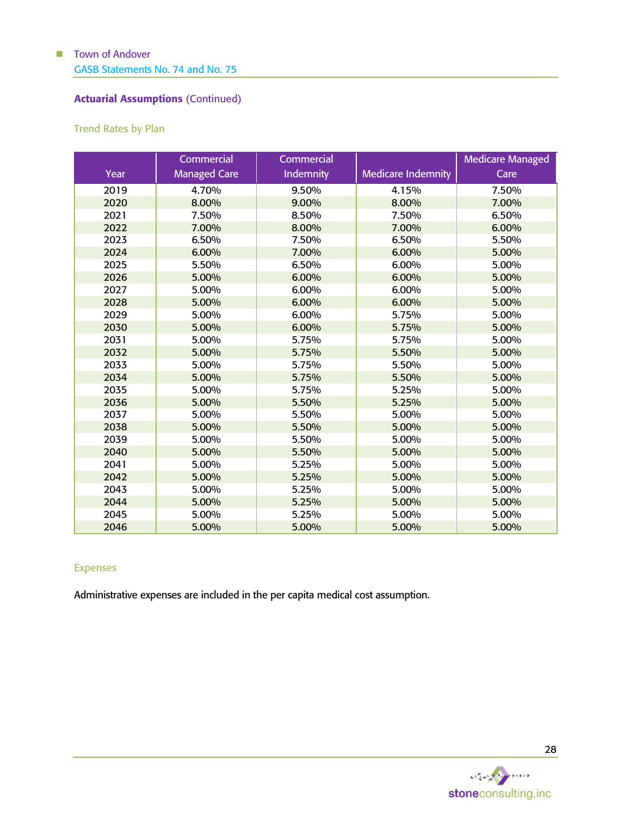### Actuarial Assumptions (Continued)

### <span id="page-30-0"></span>Trend Rates by Plan

|      | Commercial          | Commercial       |                           | <b>Medicare Managed</b> |
|------|---------------------|------------------|---------------------------|-------------------------|
| Year | <b>Managed Care</b> | <b>Indemnity</b> | <b>Medicare Indemnity</b> | Care                    |
| 2019 | 4.70%               | 9.50%            | 4.15%                     | 7.50%                   |
| 2020 | 8.00%               | 9.00%            | 8.00%                     | 7.00%                   |
| 2021 | 7.50%               | 8.50%            | 7.50%                     | 6.50%                   |
| 2022 | 7.00%               | 8.00%            | 7.00%                     | 6.00%                   |
| 2023 | 6.50%               | 7.50%            | 6.50%                     | 5.50%                   |
| 2024 | 6.00%               | 7.00%            | 6.00%                     | 5.00%                   |
| 2025 | 5.50%               | 6.50%            | 6.00%                     | 5.00%                   |
| 2026 | 5.00%               | 6.00%            | 6.00%                     | 5.00%                   |
| 2027 | 5.00%               | 6.00%            | 6.00%                     | 5.00%                   |
| 2028 | 5.00%               | 6.00%            | 6.00%                     | 5.00%                   |
| 2029 | 5.00%               | 6.00%            | 5.75%                     | 5.00%                   |
| 2030 | 5.00%               | 6.00%            | 5.75%                     | 5.00%                   |
| 2031 | 5.00%               | 5.75%            | 5.75%                     | 5.00%                   |
| 2032 | 5.00%               | 5.75%            | 5.50%                     | 5.00%                   |
| 2033 | 5.00%               | 5.75%            | 5.50%                     | 5.00%                   |
| 2034 | 5.00%               | 5.75%            | 5.50%                     | 5.00%                   |
| 2035 | 5.00%               | 5.75%            | 5.25%                     | 5.00%                   |
| 2036 | 5.00%               | 5.50%            | 5.25%                     | 5.00%                   |
| 2037 | 5.00%               | 5.50%            | 5.00%                     | 5.00%                   |
| 2038 | 5.00%               | 5.50%            | 5.00%                     | 5.00%                   |
| 2039 | 5.00%               | 5.50%            | 5.00%                     | 5.00%                   |
| 2040 | 5.00%               | 5.50%            | 5.00%                     | 5.00%                   |
| 2041 | 5.00%               | 5.25%            | 5.00%                     | 5.00%                   |
| 2042 | 5.00%               | 5.25%            | 5.00%                     | 5.00%                   |
| 2043 | 5.00%               | 5.25%            | 5.00%                     | 5.00%                   |
| 2044 | 5.00%               | 5.25%            | 5.00%                     | 5.00%                   |
| 2045 | 5.00%               | 5.25%            | 5.00%                     | 5.00%                   |
| 2046 | 5.00%               | 5.00%            | 5.00%                     | 5.00%                   |

### Expenses

Administrative expenses are included in the per capita medical cost assumption.

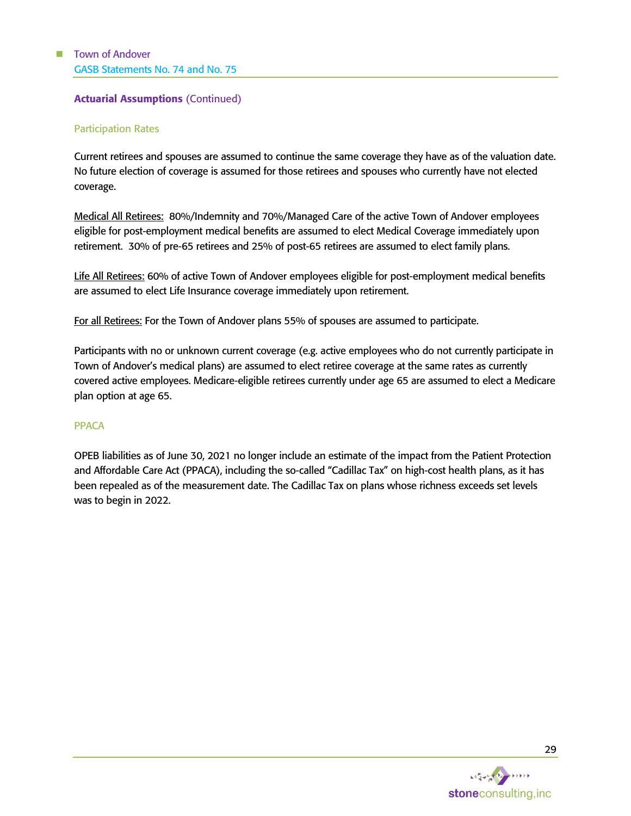### Actuarial Assumptions (Continued)

#### Participation Rates

Current retirees and spouses are assumed to continue the same coverage they have as of the valuation date. No future election of coverage is assumed for those retirees and spouses who currently have not elected coverage.

Medical All Retirees: 80%/Indemnity and 70%/Managed Care of the active Town of Andover employees eligible for post-employment medical benefits are assumed to elect Medical Coverage immediately upon retirement. 30% of pre-65 retirees and 25% of post-65 retirees are assumed to elect family plans.

Life All Retirees: 60% of active Town of Andover employees eligible for post-employment medical benefits are assumed to elect Life Insurance coverage immediately upon retirement.

For all Retirees: For the Town of Andover plans 55% of spouses are assumed to participate.

Participants with no or unknown current coverage (e.g. active employees who do not currently participate in Town of Andover's medical plans) are assumed to elect retiree coverage at the same rates as currently covered active employees. Medicare-eligible retirees currently under age 65 are assumed to elect a Medicare plan option at age 65.

#### PPACA

OPEB liabilities as of June 30, 2021 no longer include an estimate of the impact from the Patient Protection and Affordable Care Act (PPACA), including the so-called "Cadillac Tax" on high-cost health plans, as it has been repealed as of the measurement date. The Cadillac Tax on plans whose richness exceeds set levels was to begin in 2022.

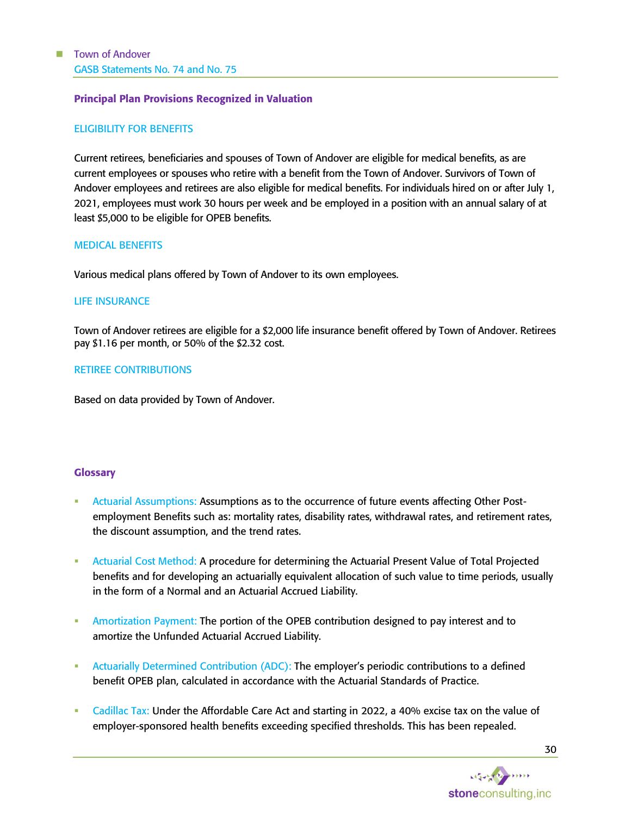#### <span id="page-32-0"></span>Principal Plan Provisions Recognized in Valuation

#### ELIGIBILITY FOR BENEFITS

Current retirees, beneficiaries and spouses of Town of Andover are eligible for medical benefits, as are current employees or spouses who retire with a benefit from the Town of Andover. Survivors of Town of Andover employees and retirees are also eligible for medical benefits. For individuals hired on or after July 1, 2021, employees must work 30 hours per week and be employed in a position with an annual salary of at least \$5,000 to be eligible for OPEB benefits.

#### MEDICAL BENEFITS

Various medical plans offered by Town of Andover to its own employees.

#### LIFE INSURANCE

Town of Andover retirees are eligible for a \$2,000 life insurance benefit offered by Town of Andover. Retirees pay \$1.16 per month, or 50% of the \$2.32 cost.

#### RETIREE CONTRIBUTIONS

Based on data provided by Town of Andover.

#### <span id="page-32-1"></span>**Glossary**

- Actuarial Assumptions: Assumptions as to the occurrence of future events affecting Other Postemployment Benefits such as: mortality rates, disability rates, withdrawal rates, and retirement rates, the discount assumption, and the trend rates.
- Actuarial Cost Method: A procedure for determining the Actuarial Present Value of Total Projected benefits and for developing an actuarially equivalent allocation of such value to time periods, usually in the form of a Normal and an Actuarial Accrued Liability.
- Amortization Payment: The portion of the OPEB contribution designed to pay interest and to amortize the Unfunded Actuarial Accrued Liability.
- Actuarially Determined Contribution (ADC): The employer's periodic contributions to a defined benefit OPEB plan, calculated in accordance with the Actuarial Standards of Practice.
- Cadillac Tax: Under the Affordable Care Act and starting in 2022, a 40% excise tax on the value of employer-sponsored health benefits exceeding specified thresholds. This has been repealed.